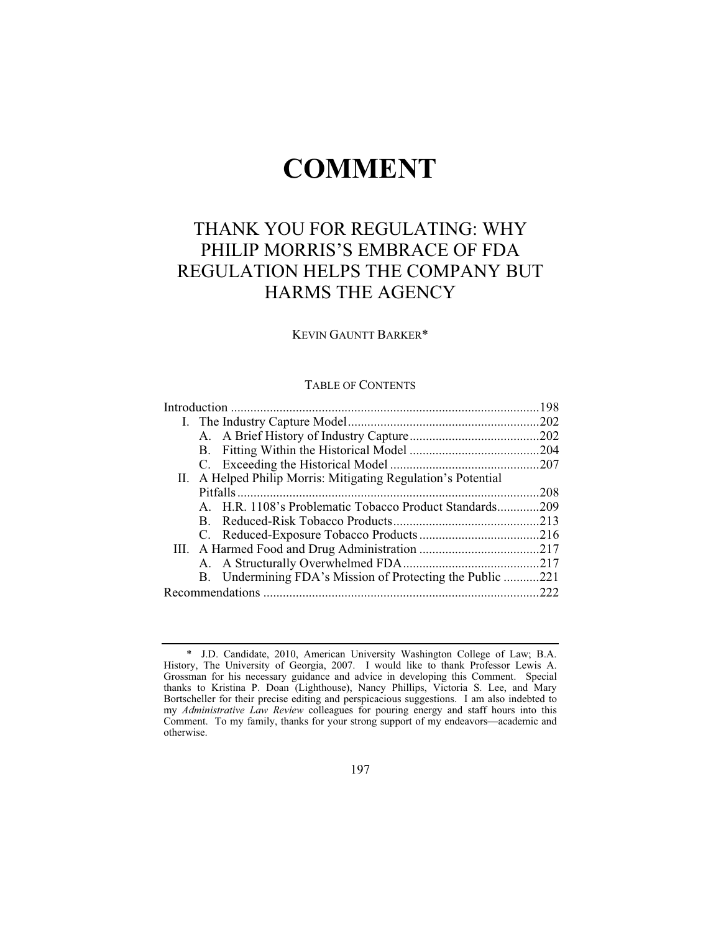# **COMMENT**

## THANK YOU FOR REGULATING: WHY PHILIP MORRIS'S EMBRACE OF FDA REGULATION HELPS THE COMPANY BUT HARMS THE AGENCY

### KEVIN GAUNTT BARKER\*

## TABLE OF CONTENTS

| II. A Helped Philip Morris: Mitigating Regulation's Potential |      |
|---------------------------------------------------------------|------|
|                                                               | .208 |
| A. H.R. 1108's Problematic Tobacco Product Standards209       |      |
|                                                               |      |
|                                                               |      |
|                                                               |      |
|                                                               |      |
| B. Undermining FDA's Mission of Protecting the Public 221     |      |
|                                                               | .222 |

 <sup>\*</sup> J.D. Candidate, 2010, American University Washington College of Law; B.A. History, The University of Georgia, 2007. I would like to thank Professor Lewis A. Grossman for his necessary guidance and advice in developing this Comment. Special thanks to Kristina P. Doan (Lighthouse), Nancy Phillips, Victoria S. Lee, and Mary Bortscheller for their precise editing and perspicacious suggestions. I am also indebted to my *Administrative Law Review* colleagues for pouring energy and staff hours into this Comment. To my family, thanks for your strong support of my endeavors—academic and otherwise.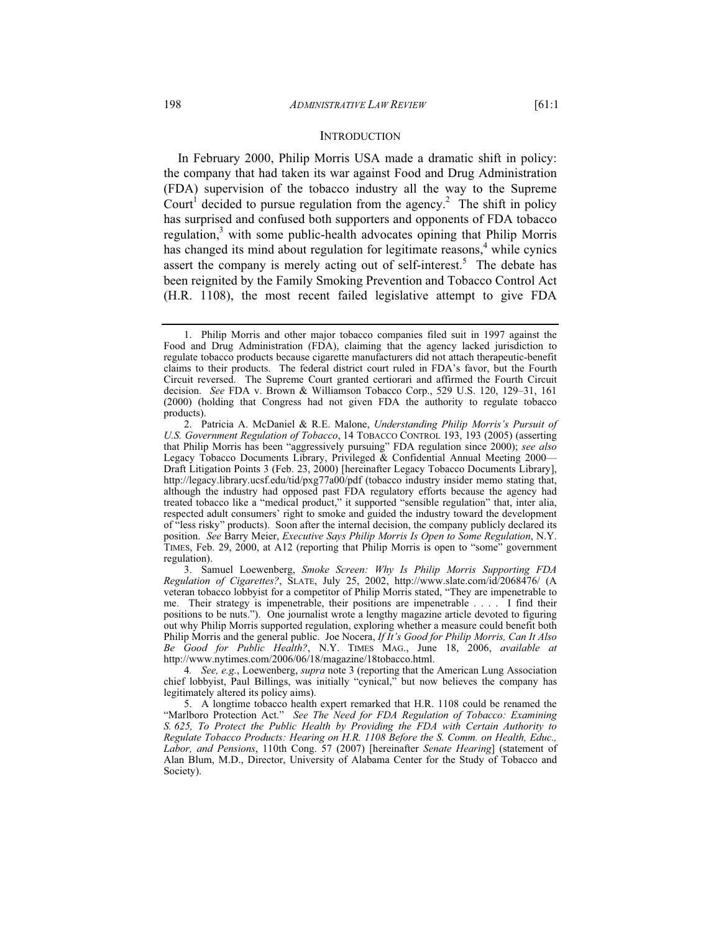In February 2000, Philip Morris USA made a dramatic shift in policy: the company that had taken its war against Food and Drug Administration (FDA) supervision of the tobacco industry all the way to the Supreme Court<sup>1</sup> decided to pursue regulation from the agency.<sup>2</sup> The shift in policy has surprised and confused both supporters and opponents of FDA tobacco regulation,<sup>3</sup> with some public-health advocates opining that Philip Morris has changed its mind about regulation for legitimate reasons,<sup>4</sup> while cynics assert the company is merely acting out of self-interest.<sup>5</sup> The debate has been reignited by the Family Smoking Prevention and Tobacco Control Act (H.R. 1108), the most recent failed legislative attempt to give FDA

 <sup>1.</sup> Philip Morris and other major tobacco companies filed suit in 1997 against the Food and Drug Administration (FDA), claiming that the agency lacked jurisdiction to regulate tobacco products because cigarette manufacturers did not attach therapeutic-benefit claims to their products. The federal district court ruled in FDA's favor, but the Fourth Circuit reversed. The Supreme Court granted certiorari and affirmed the Fourth Circuit decision. *See* FDA v. Brown & Williamson Tobacco Corp., 529 U.S. 120, 129–31, 161 (2000) (holding that Congress had not given FDA the authority to regulate tobacco products).

 <sup>2.</sup> Patricia A. McDaniel & R.E. Malone, *Understanding Philip Morris's Pursuit of U.S. Government Regulation of Tobacco*, 14 TOBACCO CONTROL 193, 193 (2005) (asserting that Philip Morris has been "aggressively pursuing" FDA regulation since 2000); *see also* Legacy Tobacco Documents Library, Privileged & Confidential Annual Meeting 2000— Draft Litigation Points 3 (Feb. 23, 2000) [hereinafter Legacy Tobacco Documents Library], http://legacy.library.ucsf.edu/tid/pxg77a00/pdf (tobacco industry insider memo stating that, although the industry had opposed past FDA regulatory efforts because the agency had treated tobacco like a "medical product," it supported "sensible regulation" that, inter alia, respected adult consumers' right to smoke and guided the industry toward the development of "less risky" products). Soon after the internal decision, the company publicly declared its position. *See* Barry Meier, *Executive Says Philip Morris Is Open to Some Regulation*, N.Y. TIMES, Feb. 29, 2000, at A12 (reporting that Philip Morris is open to "some" government regulation).

 <sup>3.</sup> Samuel Loewenberg, *Smoke Screen: Why Is Philip Morris Supporting FDA Regulation of Cigarettes?*, SLATE, July 25, 2002, http://www.slate.com/id/2068476/ (A veteran tobacco lobbyist for a competitor of Philip Morris stated, "They are impenetrable to me. Their strategy is impenetrable, their positions are impenetrable . . . . I find their positions to be nuts."). One journalist wrote a lengthy magazine article devoted to figuring out why Philip Morris supported regulation, exploring whether a measure could benefit both Philip Morris and the general public. Joe Nocera, *If It's Good for Philip Morris, Can It Also Be Good for Public Health?*, N.Y. TIMES MAG., June 18, 2006, *available at*  http://www.nytimes.com/2006/06/18/magazine/18tobacco.html.

<sup>4</sup>*. See, e.g.*, Loewenberg, *supra* note 3 (reporting that the American Lung Association chief lobbyist, Paul Billings, was initially "cynical," but now believes the company has legitimately altered its policy aims).

 <sup>5.</sup> A longtime tobacco health expert remarked that H.R. 1108 could be renamed the "Marlboro Protection Act." *See The Need for FDA Regulation of Tobacco: Examining S. 625, To Protect the Public Health by Providing the FDA with Certain Authority to Regulate Tobacco Products: Hearing on H.R. 1108 Before the S. Comm. on Health, Educ., Labor, and Pensions*, 110th Cong. 57 (2007) [hereinafter *Senate Hearing*] (statement of Alan Blum, M.D., Director, University of Alabama Center for the Study of Tobacco and Society).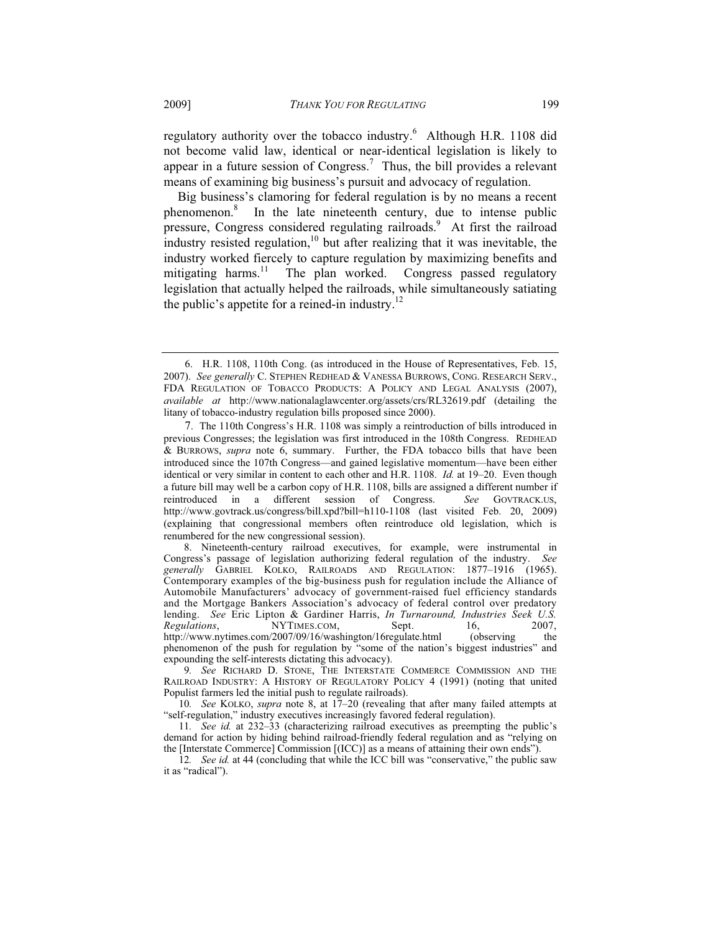regulatory authority over the tobacco industry.<sup>6</sup> Although H.R. 1108 did not become valid law, identical or near-identical legislation is likely to appear in a future session of Congress.<sup>7</sup> Thus, the bill provides a relevant means of examining big business's pursuit and advocacy of regulation.

Big business's clamoring for federal regulation is by no means a recent phenomenon.8 In the late nineteenth century, due to intense public pressure, Congress considered regulating railroads.<sup>9</sup> At first the railroad industry resisted regulation, $10$  but after realizing that it was inevitable, the industry worked fiercely to capture regulation by maximizing benefits and mitigating harms.<sup>11</sup> The plan worked. Congress passed regulatory legislation that actually helped the railroads, while simultaneously satiating the public's appetite for a reined-in industry. $12$ 

10*. See* KOLKO, *supra* note 8, at 17–20 (revealing that after many failed attempts at "self-regulation," industry executives increasingly favored federal regulation).

11*. See id.* at 232–33 (characterizing railroad executives as preempting the public's demand for action by hiding behind railroad-friendly federal regulation and as "relying on the [Interstate Commerce] Commission [(ICC)] as a means of attaining their own ends").

<sup>6.</sup> H.R. 1108, 110th Cong. (as introduced in the House of Representatives, Feb. 15, 2007). *See generally* C. STEPHEN REDHEAD & VANESSA BURROWS, CONG. RESEARCH SERV., FDA REGULATION OF TOBACCO PRODUCTS: A POLICY AND LEGAL ANALYSIS (2007), *available at* http://www.nationalaglawcenter.org/assets/crs/RL32619.pdf (detailing the litany of tobacco-industry regulation bills proposed since 2000).

<sup>7.</sup> The 110th Congress's H.R. 1108 was simply a reintroduction of bills introduced in previous Congresses; the legislation was first introduced in the 108th Congress. REDHEAD & BURROWS, *supra* note 6, summary. Further, the FDA tobacco bills that have been introduced since the 107th Congress—and gained legislative momentum—have been either identical or very similar in content to each other and H.R. 1108. *Id.* at 19–20. Even though a future bill may well be a carbon copy of H.R. 1108, bills are assigned a different number if reintroduced in a different session of Congress. *See* GOVTRACK.US, http://www.govtrack.us/congress/bill.xpd?bill=h110-1108 (last visited Feb. 20, 2009) (explaining that congressional members often reintroduce old legislation, which is renumbered for the new congressional session).

 <sup>8.</sup> Nineteenth-century railroad executives, for example, were instrumental in Congress's passage of legislation authorizing federal regulation of the industry. *See generally* GABRIEL KOLKO, RAILROADS AND REGULATION: 1877–1916 (1965). Contemporary examples of the big-business push for regulation include the Alliance of Automobile Manufacturers' advocacy of government-raised fuel efficiency standards and the Mortgage Bankers Association's advocacy of federal control over predatory lending. *See* Eric Lipton & Gardiner Harris, *In Turnaround, Industries Seek U.S. Regulations*, **NYTIMES.COM**, **Sept.** 16, 2007, http://www.nytimes.com/2007/09/16/washington/16regulate.html (observing the phenomenon of the push for regulation by "some of the nation's biggest industries" and expounding the self-interests dictating this advocacy).

<sup>9</sup>*. See* RICHARD D. STONE, THE INTERSTATE COMMERCE COMMISSION AND THE RAILROAD INDUSTRY: A HISTORY OF REGULATORY POLICY 4 (1991) (noting that united Populist farmers led the initial push to regulate railroads).

<sup>12</sup>*. See id.* at 44 (concluding that while the ICC bill was "conservative," the public saw it as "radical").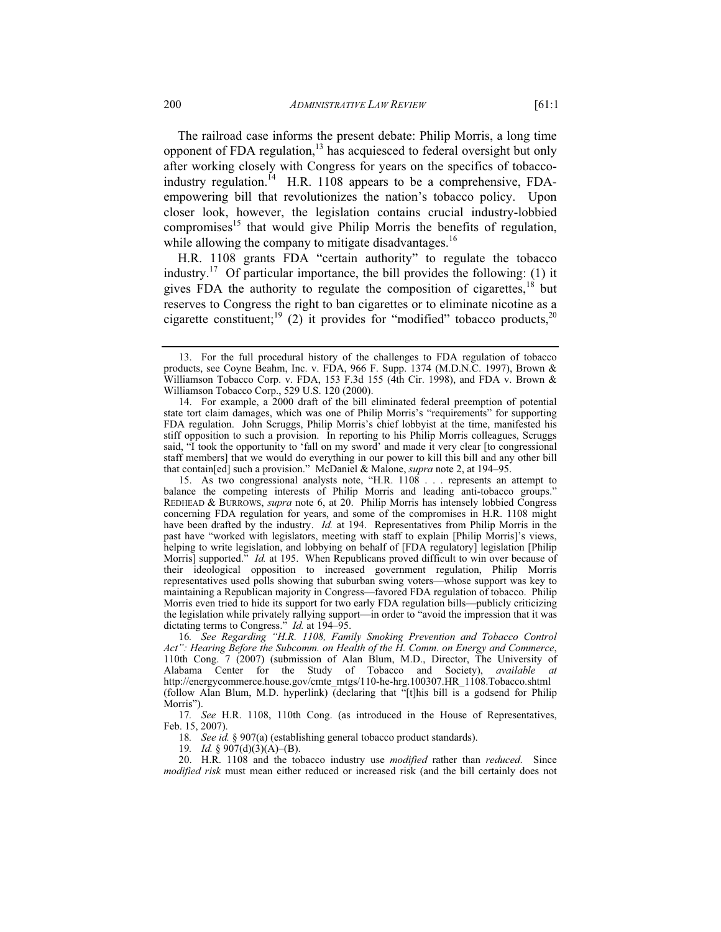The railroad case informs the present debate: Philip Morris, a long time opponent of FDA regulation, $^{13}$  has acquiesced to federal oversight but only after working closely with Congress for years on the specifics of tobaccoindustry regulation.<sup>14</sup> H.R. 1108 appears to be a comprehensive, FDAempowering bill that revolutionizes the nation's tobacco policy. Upon closer look, however, the legislation contains crucial industry-lobbied compromises<sup>15</sup> that would give Philip Morris the benefits of regulation, while allowing the company to mitigate disadvantages.<sup>16</sup>

H.R. 1108 grants FDA "certain authority" to regulate the tobacco industry.<sup>17</sup> Of particular importance, the bill provides the following: (1) it gives FDA the authority to regulate the composition of cigarettes, $18$  but reserves to Congress the right to ban cigarettes or to eliminate nicotine as a cigarette constituent;<sup>19</sup> (2) it provides for "modified" tobacco products,<sup>20</sup>

18*. See id.* § 907(a) (establishing general tobacco product standards).

19*. Id.* § 907(d)(3)(A)–(B).

 20. H.R. 1108 and the tobacco industry use *modified* rather than *reduced*. Since *modified risk* must mean either reduced or increased risk (and the bill certainly does not

 <sup>13.</sup> For the full procedural history of the challenges to FDA regulation of tobacco products, see Coyne Beahm, Inc. v. FDA, 966 F. Supp. 1374 (M.D.N.C. 1997), Brown & Williamson Tobacco Corp. v. FDA, 153 F.3d 155 (4th Cir. 1998), and FDA v. Brown & Williamson Tobacco Corp., 529 U.S. 120 (2000).

 <sup>14.</sup> For example, a 2000 draft of the bill eliminated federal preemption of potential state tort claim damages, which was one of Philip Morris's "requirements" for supporting FDA regulation. John Scruggs, Philip Morris's chief lobbyist at the time, manifested his stiff opposition to such a provision. In reporting to his Philip Morris colleagues, Scruggs said, "I took the opportunity to 'fall on my sword' and made it very clear [to congressional staff members] that we would do everything in our power to kill this bill and any other bill that contain[ed] such a provision." McDaniel & Malone, *supra* note 2, at 194–95.

 <sup>15.</sup> As two congressional analysts note, "H.R. 1108 . . . represents an attempt to balance the competing interests of Philip Morris and leading anti-tobacco groups." REDHEAD & BURROWS, *supra* note 6, at 20. Philip Morris has intensely lobbied Congress concerning FDA regulation for years, and some of the compromises in H.R. 1108 might have been drafted by the industry. *Id.* at 194. Representatives from Philip Morris in the past have "worked with legislators, meeting with staff to explain [Philip Morris]'s views, helping to write legislation, and lobbying on behalf of [FDA regulatory] legislation [Philip Morris] supported." *Id.* at 195. When Republicans proved difficult to win over because of their ideological opposition to increased government regulation, Philip Morris representatives used polls showing that suburban swing voters—whose support was key to maintaining a Republican majority in Congress—favored FDA regulation of tobacco. Philip Morris even tried to hide its support for two early FDA regulation bills—publicly criticizing the legislation while privately rallying support—in order to "avoid the impression that it was dictating terms to Congress." *Id.* at 194–95.

<sup>16</sup>*. See Regarding "H.R. 1108, Family Smoking Prevention and Tobacco Control Act": Hearing Before the Subcomm. on Health of the H. Comm. on Energy and Commerce*, 110th Cong. 7 (2007) (submission of Alan Blum, M.D., Director, The University of Alabama Center for the Study of Tobacco and Society), *available at* http://energycommerce.house.gov/cmte\_mtgs/110-he-hrg.100307.HR\_1108.Tobacco.shtml (follow Alan Blum, M.D. hyperlink) (declaring that "[t]his bill is a godsend for Philip Morris").

<sup>17</sup>*. See* H.R. 1108, 110th Cong. (as introduced in the House of Representatives, Feb. 15, 2007).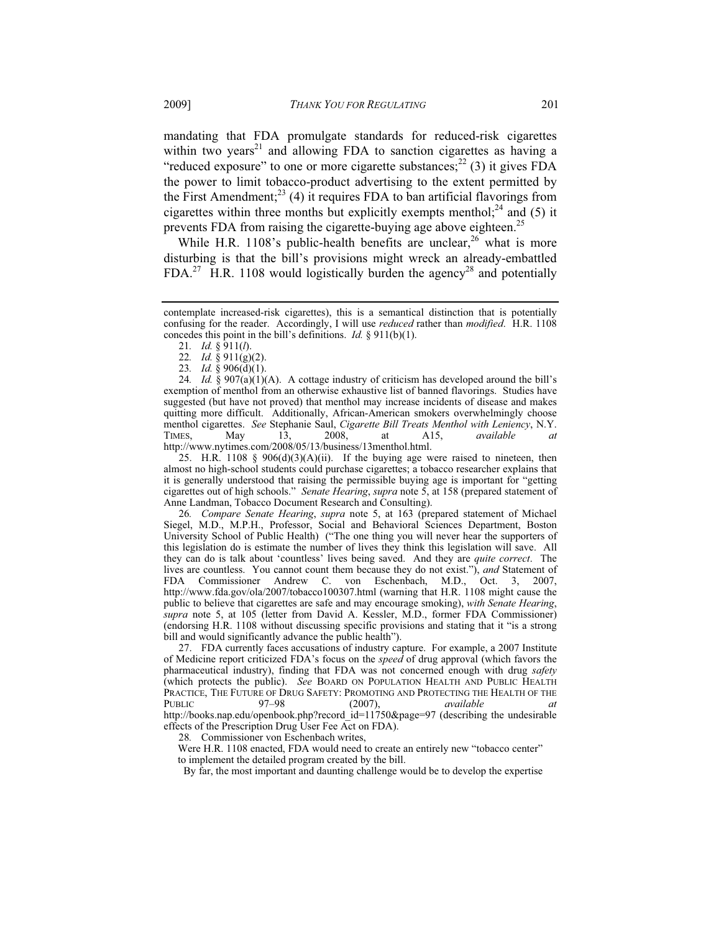mandating that FDA promulgate standards for reduced-risk cigarettes within two years<sup>21</sup> and allowing FDA to sanction cigarettes as having a "reduced exposure" to one or more cigarette substances;  $^{22}$  (3) it gives FDA the power to limit tobacco-product advertising to the extent permitted by the First Amendment;<sup>23</sup> (4) it requires FDA to ban artificial flavorings from cigarettes within three months but explicitly exempts menthol;<sup>24</sup> and (5) it prevents FDA from raising the cigarette-buying age above eighteen.<sup>25</sup>

While H.R. 1108's public-health benefits are unclear,  $26$  what is more disturbing is that the bill's provisions might wreck an already-embattled  $FDA<sup>27</sup>$  H.R. 1108 would logistically burden the agency<sup>28</sup> and potentially

25. H.R. 1108  $\S$  906(d)(3)(A)(ii). If the buying age were raised to nineteen, then almost no high-school students could purchase cigarettes; a tobacco researcher explains that it is generally understood that raising the permissible buying age is important for "getting cigarettes out of high schools." *Senate Hearing*, *supra* note 5, at 158 (prepared statement of Anne Landman, Tobacco Document Research and Consulting).

26*. Compare Senate Hearing*, *supra* note 5, at 163 (prepared statement of Michael Siegel, M.D., M.P.H., Professor, Social and Behavioral Sciences Department, Boston University School of Public Health) ("The one thing you will never hear the supporters of this legislation do is estimate the number of lives they think this legislation will save. All they can do is talk about 'countless' lives being saved. And they are *quite correct*. The lives are countless. You cannot count them because they do not exist."), *and* Statement of FDA Commissioner Andrew C. von Eschenbach, M.D., Oct. 3, 2007, http://www.fda.gov/ola/2007/tobacco100307.html (warning that H.R. 1108 might cause the public to believe that cigarettes are safe and may encourage smoking), *with Senate Hearing*, *supra* note 5, at 105 (letter from David A. Kessler, M.D., former FDA Commissioner) (endorsing H.R. 1108 without discussing specific provisions and stating that it "is a strong bill and would significantly advance the public health").

 27. FDA currently faces accusations of industry capture. For example, a 2007 Institute of Medicine report criticized FDA's focus on the *speed* of drug approval (which favors the pharmaceutical industry), finding that FDA was not concerned enough with drug *safety* (which protects the public). *See* BOARD ON POPULATION HEALTH AND PUBLIC HEALTH PRACTICE, THE FUTURE OF DRUG SAFETY: PROMOTING AND PROTECTING THE HEALTH OF THE PUBLIC 97–98 (2007), *available at* http://books.nap.edu/openbook.php?record\_id=11750&page=97 (describing the undesirable effects of the Prescription Drug User Fee Act on FDA).

28*.* Commissioner von Eschenbach writes,

Were H.R. 1108 enacted, FDA would need to create an entirely new "tobacco center" to implement the detailed program created by the bill.

By far, the most important and daunting challenge would be to develop the expertise

contemplate increased-risk cigarettes), this is a semantical distinction that is potentially confusing for the reader. Accordingly, I will use *reduced* rather than *modified*. H.R. 1108 concedes this point in the bill's definitions. *Id.* § 911(b)(1).

<sup>21</sup>*. Id.* § 911(*l*).

<sup>22</sup>*. Id.* § 911(g)(2).

<sup>23</sup>*. Id.* § 906(d)(1).

<sup>24</sup>*. Id.* § 907(a)(1)(A). A cottage industry of criticism has developed around the bill's exemption of menthol from an otherwise exhaustive list of banned flavorings. Studies have suggested (but have not proved) that menthol may increase incidents of disease and makes quitting more difficult. Additionally, African-American smokers overwhelmingly choose menthol cigarettes. *See* Stephanie Saul, *Cigarette Bill Treats Menthol with Leniency*, N.Y.<br>TIMES, May 13, 2008, at A15, *available at* TIMES, May 13, 2008, at A15, *available at* http://www.nytimes.com/2008/05/13/business/13menthol.html.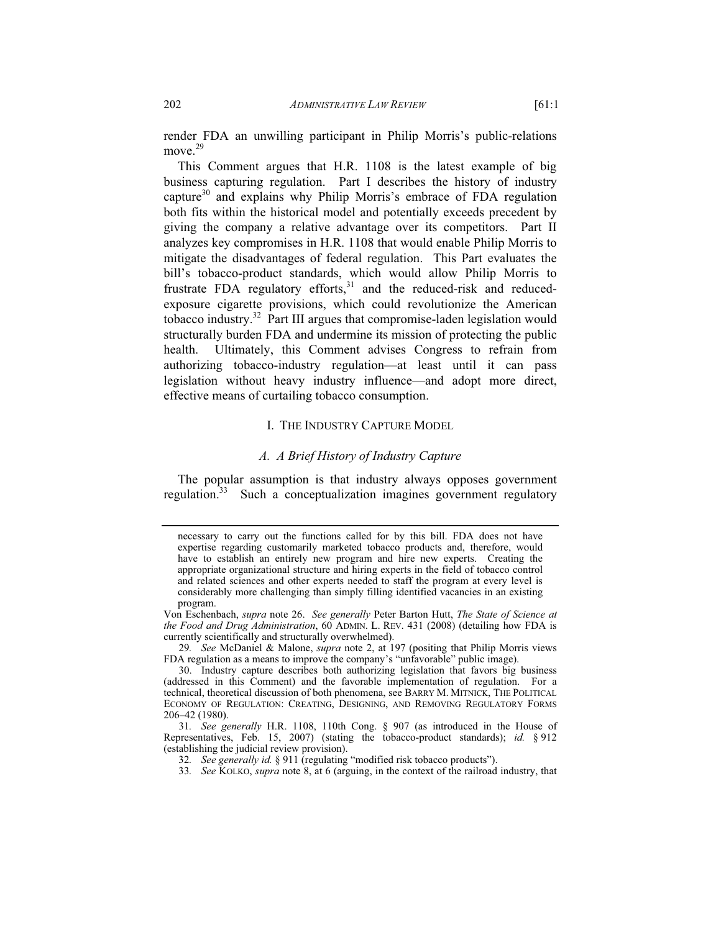render FDA an unwilling participant in Philip Morris's public-relations move.<sup>29</sup>

This Comment argues that H.R. 1108 is the latest example of big business capturing regulation. Part I describes the history of industry capture<sup>30</sup> and explains why Philip Morris's embrace of FDA regulation both fits within the historical model and potentially exceeds precedent by giving the company a relative advantage over its competitors. Part II analyzes key compromises in H.R. 1108 that would enable Philip Morris to mitigate the disadvantages of federal regulation. This Part evaluates the bill's tobacco-product standards, which would allow Philip Morris to frustrate FDA regulatory efforts, $31$  and the reduced-risk and reducedexposure cigarette provisions, which could revolutionize the American tobacco industry.<sup>32</sup> Part III argues that compromise-laden legislation would structurally burden FDA and undermine its mission of protecting the public health. Ultimately, this Comment advises Congress to refrain from authorizing tobacco-industry regulation—at least until it can pass legislation without heavy industry influence—and adopt more direct, effective means of curtailing tobacco consumption.

## I. THE INDUSTRY CAPTURE MODEL

## *A. A Brief History of Industry Capture*

The popular assumption is that industry always opposes government regulation. $33$  Such a conceptualization imagines government regulatory

necessary to carry out the functions called for by this bill. FDA does not have expertise regarding customarily marketed tobacco products and, therefore, would have to establish an entirely new program and hire new experts. Creating the appropriate organizational structure and hiring experts in the field of tobacco control and related sciences and other experts needed to staff the program at every level is considerably more challenging than simply filling identified vacancies in an existing program.

Von Eschenbach, *supra* note 26. *See generally* Peter Barton Hutt, *The State of Science at the Food and Drug Administration*, 60 ADMIN. L. REV. 431 (2008) (detailing how FDA is currently scientifically and structurally overwhelmed).

<sup>29</sup>*. See* McDaniel & Malone, *supra* note 2, at 197 (positing that Philip Morris views FDA regulation as a means to improve the company's "unfavorable" public image).

 <sup>30.</sup> Industry capture describes both authorizing legislation that favors big business (addressed in this Comment) and the favorable implementation of regulation. For a technical, theoretical discussion of both phenomena, see BARRY M. MITNICK, THE POLITICAL ECONOMY OF REGULATION: CREATING, DESIGNING, AND REMOVING REGULATORY FORMS 206–42 (1980).

<sup>31</sup>*. See generally* H.R. 1108, 110th Cong. § 907 (as introduced in the House of Representatives, Feb. 15, 2007) (stating the tobacco-product standards); *id.* § 912 (establishing the judicial review provision).

<sup>32</sup>*. See generally id.* § 911 (regulating "modified risk tobacco products").

<sup>33</sup>*. See* KOLKO, *supra* note 8, at 6 (arguing, in the context of the railroad industry, that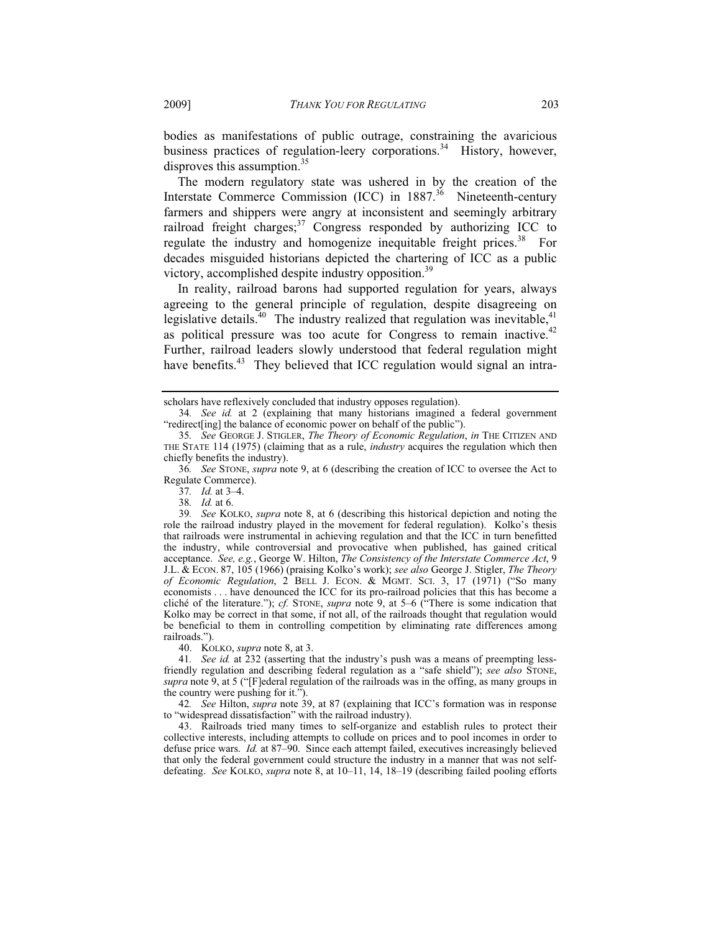bodies as manifestations of public outrage, constraining the avaricious business practices of regulation-leery corporations.<sup>34</sup> History, however, disproves this assumption.<sup>35</sup>

The modern regulatory state was ushered in by the creation of the Interstate Commerce Commission (ICC) in 1887.<sup>36</sup> Nineteenth-century farmers and shippers were angry at inconsistent and seemingly arbitrary railroad freight charges; $37$  Congress responded by authorizing ICC to regulate the industry and homogenize inequitable freight prices.<sup>38</sup> For decades misguided historians depicted the chartering of ICC as a public victory, accomplished despite industry opposition.39

In reality, railroad barons had supported regulation for years, always agreeing to the general principle of regulation, despite disagreeing on legislative details.<sup>40</sup> The industry realized that regulation was inevitable,<sup>41</sup> as political pressure was too acute for Congress to remain inactive.<sup>42</sup> Further, railroad leaders slowly understood that federal regulation might have benefits. $43$  They believed that ICC regulation would signal an intra-

37*. Id.* at 3–4.

39*. See* KOLKO, *supra* note 8, at 6 (describing this historical depiction and noting the role the railroad industry played in the movement for federal regulation). Kolko's thesis that railroads were instrumental in achieving regulation and that the ICC in turn benefitted the industry, while controversial and provocative when published, has gained critical acceptance. *See, e.g.*, George W. Hilton, *The Consistency of the Interstate Commerce Act*, 9 J.L. & ECON. 87, 105 (1966) (praising Kolko's work); *see also* George J. Stigler, *The Theory of Economic Regulation*, 2 BELL J. ECON.&MGMT. SCI. 3, 17 (1971) ("So many economists . . . have denounced the ICC for its pro-railroad policies that this has become a cliché of the literature."); *cf.* STONE, *supra* note 9, at 5–6 ("There is some indication that Kolko may be correct in that some, if not all, of the railroads thought that regulation would be beneficial to them in controlling competition by eliminating rate differences among railroads.").

40. KOLKO, *supra* note 8, at 3.

41*. See id.* at 232 (asserting that the industry's push was a means of preempting lessfriendly regulation and describing federal regulation as a "safe shield"); *see also* STONE, *supra* note 9, at 5 ("[F]ederal regulation of the railroads was in the offing, as many groups in the country were pushing for it.").

42*. See* Hilton, *supra* note 39, at 87 (explaining that ICC's formation was in response to "widespread dissatisfaction" with the railroad industry).

 43. Railroads tried many times to self-organize and establish rules to protect their collective interests, including attempts to collude on prices and to pool incomes in order to defuse price wars. *Id.* at 87–90. Since each attempt failed, executives increasingly believed that only the federal government could structure the industry in a manner that was not selfdefeating. *See* KOLKO, *supra* note 8, at 10–11, 14, 18–19 (describing failed pooling efforts

scholars have reflexively concluded that industry opposes regulation).

<sup>34</sup>*. See id.* at 2 (explaining that many historians imagined a federal government "redirect[ing] the balance of economic power on behalf of the public").

<sup>35</sup>*. See* GEORGE J. STIGLER, *The Theory of Economic Regulation*, *in* THE CITIZEN AND THE STATE 114 (1975) (claiming that as a rule, *industry* acquires the regulation which then chiefly benefits the industry).

<sup>36</sup>*. See* STONE, *supra* note 9, at 6 (describing the creation of ICC to oversee the Act to Regulate Commerce).

<sup>38</sup>*. Id.* at 6.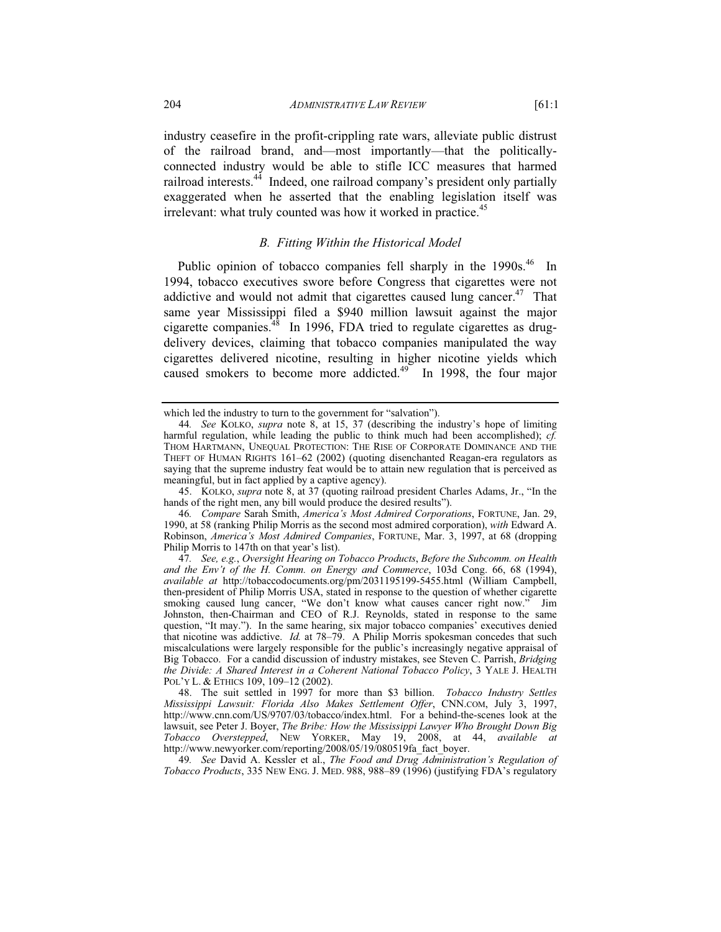industry ceasefire in the profit-crippling rate wars, alleviate public distrust of the railroad brand, and—most importantly—that the politicallyconnected industry would be able to stifle ICC measures that harmed railroad interests.<sup>44</sup> Indeed, one railroad company's president only partially exaggerated when he asserted that the enabling legislation itself was irrelevant: what truly counted was how it worked in practice.<sup>45</sup>

## *B. Fitting Within the Historical Model*

Public opinion of tobacco companies fell sharply in the 1990s.<sup>46</sup> In 1994, tobacco executives swore before Congress that cigarettes were not addictive and would not admit that cigarettes caused lung cancer.<sup>47</sup> That same year Mississippi filed a \$940 million lawsuit against the major cigarette companies.<sup>48</sup> In 1996, FDA tried to regulate cigarettes as drugdelivery devices, claiming that tobacco companies manipulated the way cigarettes delivered nicotine, resulting in higher nicotine yields which caused smokers to become more addicted.<sup>49</sup> In 1998, the four major

which led the industry to turn to the government for "salvation").

<sup>44</sup>*. See* KOLKO, *supra* note 8, at 15, 37 (describing the industry's hope of limiting harmful regulation, while leading the public to think much had been accomplished); *cf.* THOM HARTMANN, UNEQUAL PROTECTION: THE RISE OF CORPORATE DOMINANCE AND THE THEFT OF HUMAN RIGHTS 161–62 (2002) (quoting disenchanted Reagan-era regulators as saying that the supreme industry feat would be to attain new regulation that is perceived as meaningful, but in fact applied by a captive agency).

 <sup>45.</sup> KOLKO, *supra* note 8, at 37 (quoting railroad president Charles Adams, Jr., "In the hands of the right men, any bill would produce the desired results").

<sup>46</sup>*. Compare* Sarah Smith, *America's Most Admired Corporations*, FORTUNE, Jan. 29, 1990, at 58 (ranking Philip Morris as the second most admired corporation), *with* Edward A. Robinson, *America's Most Admired Companies*, FORTUNE, Mar. 3, 1997, at 68 (dropping Philip Morris to 147th on that year's list).

<sup>47</sup>*. See, e.g.*, *Oversight Hearing on Tobacco Products*, *Before the Subcomm. on Health and the Env't of the H. Comm. on Energy and Commerce*, 103d Cong. 66, 68 (1994), *available at* http://tobaccodocuments.org/pm/2031195199-5455.html (William Campbell, then-president of Philip Morris USA, stated in response to the question of whether cigarette smoking caused lung cancer, "We don't know what causes cancer right now." Jim Johnston, then-Chairman and CEO of R.J. Reynolds, stated in response to the same question, "It may."). In the same hearing, six major tobacco companies' executives denied that nicotine was addictive. *Id.* at 78–79. A Philip Morris spokesman concedes that such miscalculations were largely responsible for the public's increasingly negative appraisal of Big Tobacco. For a candid discussion of industry mistakes, see Steven C. Parrish, *Bridging the Divide: A Shared Interest in a Coherent National Tobacco Policy*, 3 YALE J. HEALTH POL'Y L. & ETHICS 109, 109–12 (2002).

 <sup>48.</sup> The suit settled in 1997 for more than \$3 billion. *Tobacco Industry Settles Mississippi Lawsuit: Florida Also Makes Settlement Offer*, CNN.COM, July 3, 1997, http://www.cnn.com/US/9707/03/tobacco/index.html. For a behind-the-scenes look at the lawsuit, see Peter J. Boyer, *The Bribe: How the Mississippi Lawyer Who Brought Down Big Tobacco Overstepped*, NEW YORKER, May 19, 2008, at 44, *available at* http://www.newyorker.com/reporting/2008/05/19/080519fa\_fact\_boyer.

<sup>49</sup>*. See* David A. Kessler et al., *The Food and Drug Administration's Regulation of Tobacco Products*, 335 NEW ENG. J. MED. 988, 988–89 (1996) (justifying FDA's regulatory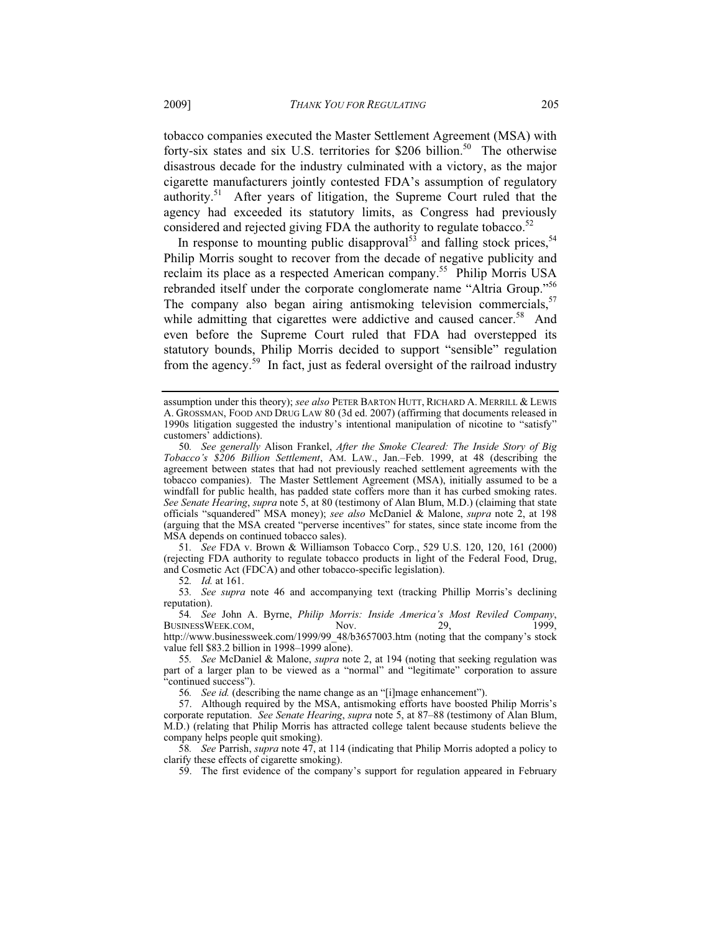tobacco companies executed the Master Settlement Agreement (MSA) with forty-six states and six U.S. territories for \$206 billion.<sup>50</sup> The otherwise disastrous decade for the industry culminated with a victory, as the major cigarette manufacturers jointly contested FDA's assumption of regulatory authority.<sup>51</sup> After years of litigation, the Supreme Court ruled that the agency had exceeded its statutory limits, as Congress had previously considered and rejected giving FDA the authority to regulate tobacco. $52$ 

In response to mounting public disapproval<sup>53</sup> and falling stock prices.<sup>54</sup> Philip Morris sought to recover from the decade of negative publicity and reclaim its place as a respected American company.55 Philip Morris USA rebranded itself under the corporate conglomerate name "Altria Group."<sup>56</sup> The company also began airing antismoking television commercials,  $57$ while admitting that cigarettes were addictive and caused cancer.<sup>58</sup> And even before the Supreme Court ruled that FDA had overstepped its statutory bounds, Philip Morris decided to support "sensible" regulation from the agency.<sup>59</sup> In fact, just as federal oversight of the railroad industry

51*. See* FDA v. Brown & Williamson Tobacco Corp., 529 U.S. 120, 120, 161 (2000) (rejecting FDA authority to regulate tobacco products in light of the Federal Food, Drug, and Cosmetic Act (FDCA) and other tobacco-specific legislation).

52*. Id.* at 161.

53*. See supra* note 46 and accompanying text (tracking Phillip Morris's declining reputation).

54*. See* John A. Byrne, *Philip Morris: Inside America's Most Reviled Company*, BUSINESSWEEK.COM, Nov. 29, 1999, http://www.businessweek.com/1999/99\_48/b3657003.htm (noting that the company's stock value fell \$83.2 billion in 1998–1999 alone).

56*. See id.* (describing the name change as an "[i]mage enhancement").

58*. See* Parrish, *supra* note 47, at 114 (indicating that Philip Morris adopted a policy to clarify these effects of cigarette smoking).

59. The first evidence of the company's support for regulation appeared in February

assumption under this theory); *see also* PETER BARTON HUTT, RICHARD A. MERRILL & LEWIS A. GROSSMAN, FOOD AND DRUG LAW 80 (3d ed. 2007) (affirming that documents released in 1990s litigation suggested the industry's intentional manipulation of nicotine to "satisfy" customers' addictions).

<sup>50</sup>*. See generally* Alison Frankel, *After the Smoke Cleared: The Inside Story of Big Tobacco's \$206 Billion Settlement*, AM. LAW., Jan.–Feb. 1999, at 48 (describing the agreement between states that had not previously reached settlement agreements with the tobacco companies). The Master Settlement Agreement (MSA), initially assumed to be a windfall for public health, has padded state coffers more than it has curbed smoking rates. *See Senate Hearing*, *supra* note 5, at 80 (testimony of Alan Blum, M.D.) (claiming that state officials "squandered" MSA money); *see also* McDaniel & Malone, *supra* note 2, at 198 (arguing that the MSA created "perverse incentives" for states, since state income from the MSA depends on continued tobacco sales).

<sup>55</sup>*. See* McDaniel & Malone, *supra* note 2, at 194 (noting that seeking regulation was part of a larger plan to be viewed as a "normal" and "legitimate" corporation to assure "continued success").

 <sup>57.</sup> Although required by the MSA, antismoking efforts have boosted Philip Morris's corporate reputation. *See Senate Hearing*, *supra* note 5, at 87–88 (testimony of Alan Blum, M.D.) (relating that Philip Morris has attracted college talent because students believe the company helps people quit smoking).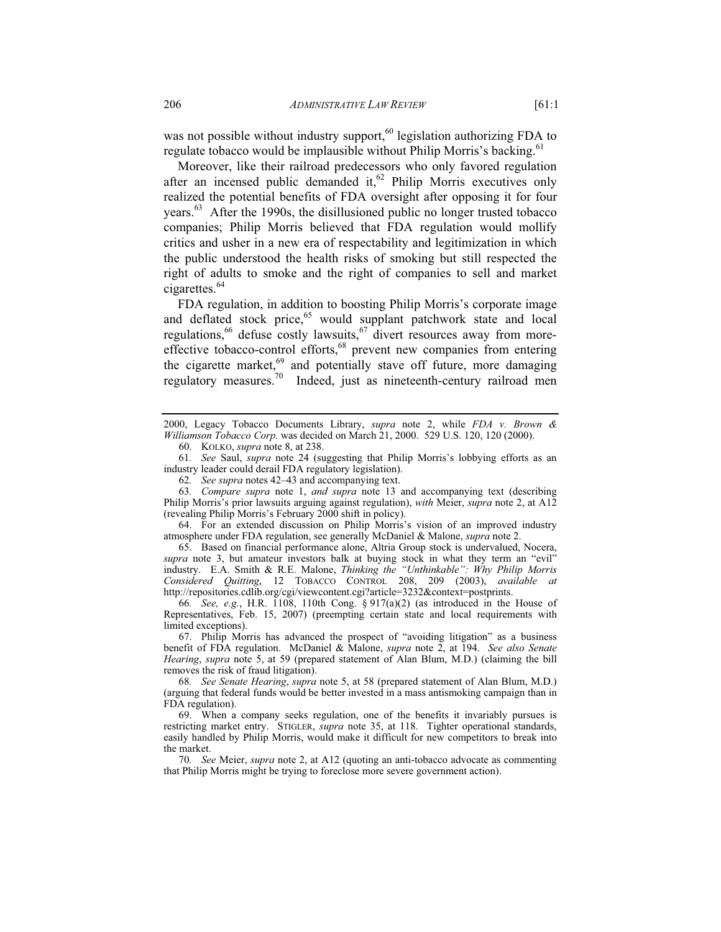was not possible without industry support,<sup>60</sup> legislation authorizing FDA to regulate tobacco would be implausible without Philip Morris's backing.<sup>61</sup>

Moreover, like their railroad predecessors who only favored regulation after an incensed public demanded it, $62$  Philip Morris executives only realized the potential benefits of FDA oversight after opposing it for four years.<sup>63</sup> After the 1990s, the disillusioned public no longer trusted tobacco companies; Philip Morris believed that FDA regulation would mollify critics and usher in a new era of respectability and legitimization in which the public understood the health risks of smoking but still respected the right of adults to smoke and the right of companies to sell and market cigarettes.<sup>64</sup>

FDA regulation, in addition to boosting Philip Morris's corporate image and deflated stock price,<sup>65</sup> would supplant patchwork state and local regulations,<sup>66</sup> defuse costly lawsuits,<sup>67</sup> divert resources away from moreeffective tobacco-control efforts,<sup>68</sup> prevent new companies from entering the cigarette market,<sup>69</sup> and potentially stave off future, more damaging regulatory measures.<sup>70</sup> Indeed, just as nineteenth-century railroad men

 64. For an extended discussion on Philip Morris's vision of an improved industry atmosphere under FDA regulation, see generally McDaniel & Malone, *supra* note 2.

 65. Based on financial performance alone, Altria Group stock is undervalued, Nocera, *supra* note 3, but amateur investors balk at buying stock in what they term an "evil" industry. E.A. Smith & R.E. Malone, *Thinking the "Unthinkable": Why Philip Morris Considered Quitting*, 12 TOBACCO CONTROL 208, 209 (2003), *available at* http://repositories.cdlib.org/cgi/viewcontent.cgi?article=3232&context=postprints.

66*. See, e.g.*, H.R. 1108, 110th Cong. § 917(a)(2) (as introduced in the House of Representatives, Feb. 15, 2007) (preempting certain state and local requirements with limited exceptions).

 67. Philip Morris has advanced the prospect of "avoiding litigation" as a business benefit of FDA regulation. McDaniel & Malone, *supra* note 2, at 194. *See also Senate Hearing*, *supra* note 5, at 59 (prepared statement of Alan Blum, M.D.) (claiming the bill removes the risk of fraud litigation).

<sup>2000,</sup> Legacy Tobacco Documents Library, *supra* note 2, while *FDA v. Brown & Williamson Tobacco Corp.* was decided on March 21, 2000. 529 U.S. 120, 120 (2000).

 <sup>60.</sup> KOLKO, *supra* note 8, at 238.

<sup>61</sup>*. See* Saul, *supra* note 24 (suggesting that Philip Morris's lobbying efforts as an industry leader could derail FDA regulatory legislation).

<sup>62</sup>*. See supra* notes 42–43 and accompanying text.

<sup>63</sup>*. Compare supra* note 1, *and supra* note 13 and accompanying text (describing Philip Morris's prior lawsuits arguing against regulation), *with* Meier, *supra* note 2, at A12 (revealing Philip Morris's February 2000 shift in policy).

<sup>68</sup>*. See Senate Hearing*, *supra* note 5, at 58 (prepared statement of Alan Blum, M.D.) (arguing that federal funds would be better invested in a mass antismoking campaign than in FDA regulation).

 <sup>69.</sup> When a company seeks regulation, one of the benefits it invariably pursues is restricting market entry. STIGLER, *supra* note 35, at 118. Tighter operational standards, easily handled by Philip Morris, would make it difficult for new competitors to break into the market.

<sup>70</sup>*. See* Meier, *supra* note 2, at A12 (quoting an anti-tobacco advocate as commenting that Philip Morris might be trying to foreclose more severe government action).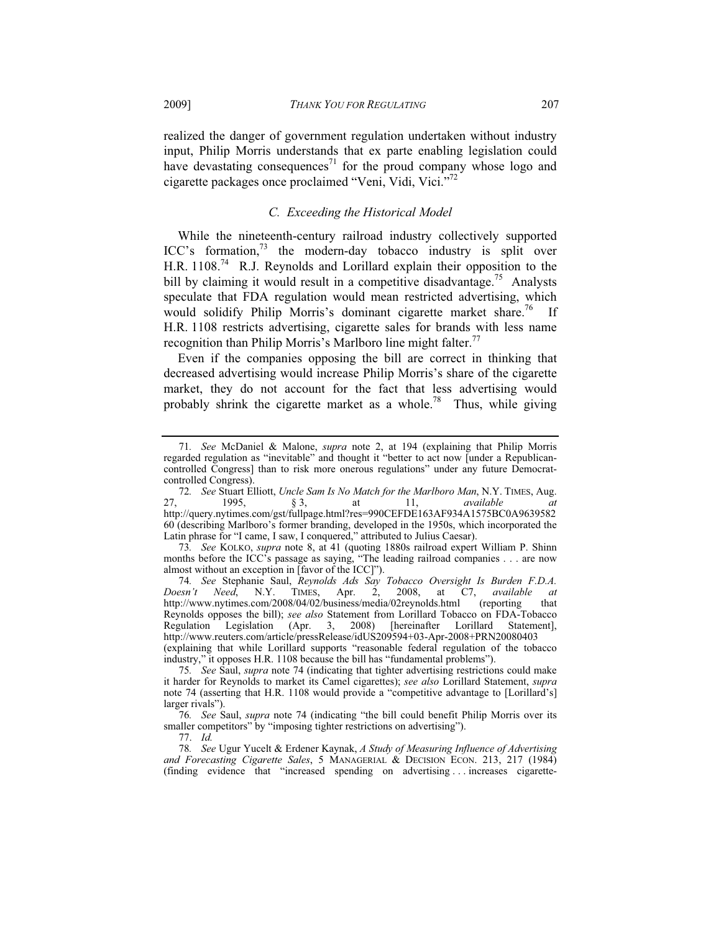realized the danger of government regulation undertaken without industry input, Philip Morris understands that ex parte enabling legislation could have devastating consequences<sup>71</sup> for the proud company whose logo and cigarette packages once proclaimed "Veni, Vidi, Vici."72

## *C. Exceeding the Historical Model*

While the nineteenth-century railroad industry collectively supported  $ICC's$  formation,<sup>73</sup> the modern-day tobacco industry is split over H.R. 1108.<sup>74</sup> R.J. Reynolds and Lorillard explain their opposition to the bill by claiming it would result in a competitive disadvantage.<sup>75</sup> Analysts speculate that FDA regulation would mean restricted advertising, which would solidify Philip Morris's dominant cigarette market share.<sup>76</sup> If H.R. 1108 restricts advertising, cigarette sales for brands with less name recognition than Philip Morris's Marlboro line might falter.<sup>77</sup>

Even if the companies opposing the bill are correct in thinking that decreased advertising would increase Philip Morris's share of the cigarette market, they do not account for the fact that less advertising would probably shrink the cigarette market as a whole.<sup>78</sup> Thus, while giving

<sup>71</sup>*. See* McDaniel & Malone, *supra* note 2, at 194 (explaining that Philip Morris regarded regulation as "inevitable" and thought it "better to act now [under a Republicancontrolled Congress] than to risk more onerous regulations" under any future Democratcontrolled Congress).

<sup>72</sup>*. See* Stuart Elliott, *Uncle Sam Is No Match for the Marlboro Man*, N.Y. TIMES, Aug. 27, 1995, § 3, at 11, *available at* http://query.nytimes.com/gst/fullpage.html?res=990CEFDE163AF934A1575BC0A9639582 60 (describing Marlboro's former branding, developed in the 1950s, which incorporated the Latin phrase for "I came, I saw, I conquered," attributed to Julius Caesar).

<sup>73</sup>*. See* KOLKO, *supra* note 8, at 41 (quoting 1880s railroad expert William P. Shinn months before the ICC's passage as saying, "The leading railroad companies . . . are now almost without an exception in [favor of the ICC]").

<sup>74</sup>*. See* Stephanie Saul, *Reynolds Ads Say Tobacco Oversight Is Burden F.D.A. Doesn't Need*, N.Y. TIMES, Apr. 2, 2008, at C7, *available at* http://www.nytimes.com/2008/04/02/business/media/02reynolds.html (reporting that Reynolds opposes the bill); *see also* Statement from Lorillard Tobacco on FDA-Tobacco Regulation Legislation (Apr. 3, 2008) [hereinafter Lorillard Statement], http://www.reuters.com/article/pressRelease/idUS209594+03-Apr-2008+PRN20080403 (explaining that while Lorillard supports "reasonable federal regulation of the tobacco industry," it opposes H.R. 1108 because the bill has "fundamental problems").

<sup>75</sup>*. See* Saul, *supra* note 74 (indicating that tighter advertising restrictions could make it harder for Reynolds to market its Camel cigarettes); *see also* Lorillard Statement, *supra* note 74 (asserting that H.R. 1108 would provide a "competitive advantage to [Lorillard's] larger rivals").

<sup>76</sup>*. See* Saul, *supra* note 74 (indicating "the bill could benefit Philip Morris over its smaller competitors" by "imposing tighter restrictions on advertising").

<sup>77.</sup> *Id.*

<sup>78</sup>*. See* Ugur Yucelt & Erdener Kaynak, *A Study of Measuring Influence of Advertising and Forecasting Cigarette Sales*, 5 MANAGERIAL & DECISION ECON. 213, 217 (1984) (finding evidence that "increased spending on advertising . . . increases cigarette-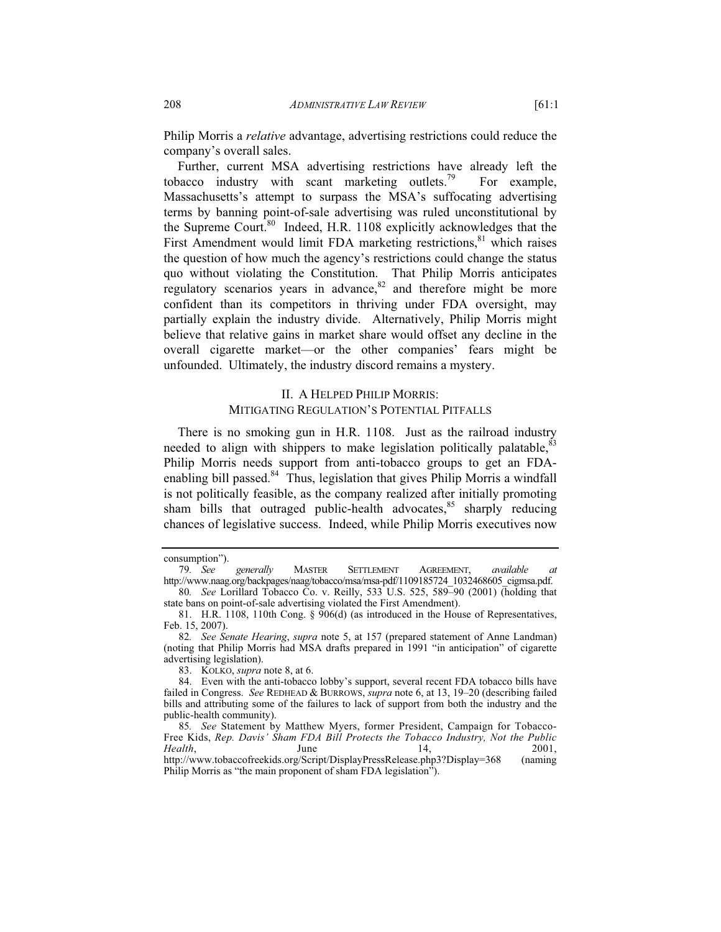Philip Morris a *relative* advantage, advertising restrictions could reduce the company's overall sales.

Further, current MSA advertising restrictions have already left the tobacco industry with scant marketing outlets.<sup>79</sup> For example, Massachusetts's attempt to surpass the MSA's suffocating advertising terms by banning point-of-sale advertising was ruled unconstitutional by the Supreme Court.<sup>80</sup> Indeed, H.R. 1108 explicitly acknowledges that the First Amendment would limit FDA marketing restrictions, $81$  which raises the question of how much the agency's restrictions could change the status quo without violating the Constitution. That Philip Morris anticipates regulatory scenarios years in advance, $82$  and therefore might be more confident than its competitors in thriving under FDA oversight, may partially explain the industry divide. Alternatively, Philip Morris might believe that relative gains in market share would offset any decline in the overall cigarette market—or the other companies' fears might be unfounded. Ultimately, the industry discord remains a mystery.

## II. A HELPED PHILIP MORRIS: MITIGATING REGULATION'S POTENTIAL PITFALLS

There is no smoking gun in H.R. 1108. Just as the railroad industry needed to align with shippers to make legislation politically palatable, $83$ Philip Morris needs support from anti-tobacco groups to get an FDAenabling bill passed.<sup>84</sup> Thus, legislation that gives Philip Morris a windfall is not politically feasible, as the company realized after initially promoting sham bills that outraged public-health advocates,<sup>85</sup> sharply reducing chances of legislative success. Indeed, while Philip Morris executives now

consumption").

<sup>79</sup>*. See generally* MASTER SETTLEMENT AGREEMENT, *available at* http://www.naag.org/backpages/naag/tobacco/msa/msa-pdf/1109185724\_1032468605\_cigmsa.pdf. 80*. See* Lorillard Tobacco Co. v. Reilly, 533 U.S. 525, 589–90 (2001) (holding that

state bans on point-of-sale advertising violated the First Amendment).

 <sup>81.</sup> H.R. 1108, 110th Cong. § 906(d) (as introduced in the House of Representatives, Feb. 15, 2007).

<sup>82</sup>*. See Senate Hearing*, *supra* note 5, at 157 (prepared statement of Anne Landman) (noting that Philip Morris had MSA drafts prepared in 1991 "in anticipation" of cigarette advertising legislation).

 <sup>83.</sup> KOLKO, *supra* note 8, at 6.

 <sup>84.</sup> Even with the anti-tobacco lobby's support, several recent FDA tobacco bills have failed in Congress. *See* REDHEAD & BURROWS, *supra* note 6, at 13, 19–20 (describing failed bills and attributing some of the failures to lack of support from both the industry and the public-health community).

<sup>85</sup>*. See* Statement by Matthew Myers, former President, Campaign for Tobacco-Free Kids, *Rep. Davis' Sham FDA Bill Protects the Tobacco Industry, Not the Public Health*, **I** June 14, 2001, http://www.tobaccofreekids.org/Script/DisplayPressRelease.php3?Display=368 (naming Philip Morris as "the main proponent of sham FDA legislation").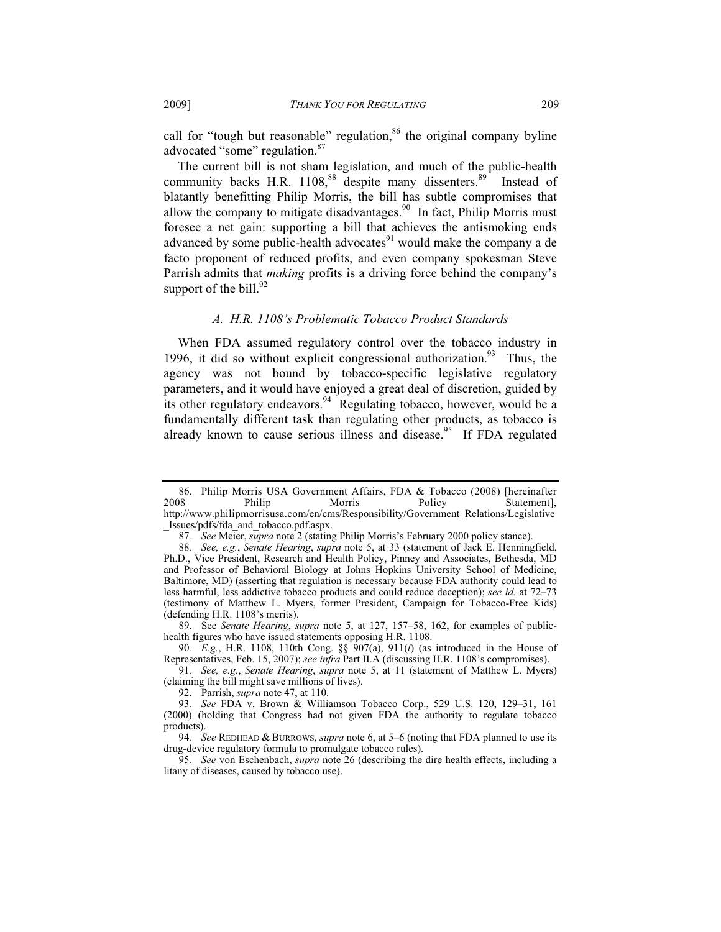call for "tough but reasonable" regulation, $86$  the original company byline advocated "some" regulation.<sup>87</sup>

The current bill is not sham legislation, and much of the public-health community backs H.R. 1108,<sup>88</sup> despite many dissenters.<sup>89</sup> Instead of blatantly benefitting Philip Morris, the bill has subtle compromises that allow the company to mitigate disadvantages.<sup>90</sup> In fact, Philip Morris must foresee a net gain: supporting a bill that achieves the antismoking ends advanced by some public-health advocates<sup>91</sup> would make the company a de facto proponent of reduced profits, and even company spokesman Steve Parrish admits that *making* profits is a driving force behind the company's support of the bill. $92$ 

## *A. H.R. 1108's Problematic Tobacco Product Standards*

When FDA assumed regulatory control over the tobacco industry in 1996, it did so without explicit congressional authorization. $93$  Thus, the agency was not bound by tobacco-specific legislative regulatory parameters, and it would have enjoyed a great deal of discretion, guided by its other regulatory endeavors.<sup>94</sup> Regulating tobacco, however, would be a fundamentally different task than regulating other products, as tobacco is already known to cause serious illness and disease.<sup>95</sup> If FDA regulated

 <sup>86.</sup> Philip Morris USA Government Affairs, FDA & Tobacco (2008) [hereinafter Philip Morris Policy Statement], http://www.philipmorrisusa.com/en/cms/Responsibility/Government\_Relations/Legislative \_Issues/pdfs/fda\_and\_tobacco.pdf.aspx.

<sup>87</sup>*. See* Meier, *supra* note 2 (stating Philip Morris's February 2000 policy stance).

<sup>88</sup>*. See, e.g.*, *Senate Hearing*, *supra* note 5, at 33 (statement of Jack E. Henningfield, Ph.D., Vice President, Research and Health Policy, Pinney and Associates, Bethesda, MD and Professor of Behavioral Biology at Johns Hopkins University School of Medicine, Baltimore, MD) (asserting that regulation is necessary because FDA authority could lead to less harmful, less addictive tobacco products and could reduce deception); *see id.* at 72–73 (testimony of Matthew L. Myers, former President, Campaign for Tobacco-Free Kids) (defending H.R. 1108's merits).

 <sup>89.</sup> See *Senate Hearing*, *supra* note 5, at 127, 157–58, 162, for examples of publichealth figures who have issued statements opposing H.R. 1108.

<sup>90</sup>*. E.g.*, H.R. 1108, 110th Cong. §§ 907(a), 911(*l*) (as introduced in the House of Representatives, Feb. 15, 2007); *see infra* Part II.A (discussing H.R. 1108's compromises).

<sup>91</sup>*. See, e.g.*, *Senate Hearing*, *supra* note 5, at 11 (statement of Matthew L. Myers) (claiming the bill might save millions of lives).

 <sup>92.</sup> Parrish, *supra* note 47, at 110.

<sup>93</sup>*. See* FDA v. Brown & Williamson Tobacco Corp., 529 U.S. 120, 129–31, 161 (2000) (holding that Congress had not given FDA the authority to regulate tobacco products).

<sup>94</sup>*. See* REDHEAD & BURROWS, *supra* note 6, at 5–6 (noting that FDA planned to use its drug-device regulatory formula to promulgate tobacco rules).

<sup>95</sup>*. See* von Eschenbach, *supra* note 26 (describing the dire health effects, including a litany of diseases, caused by tobacco use).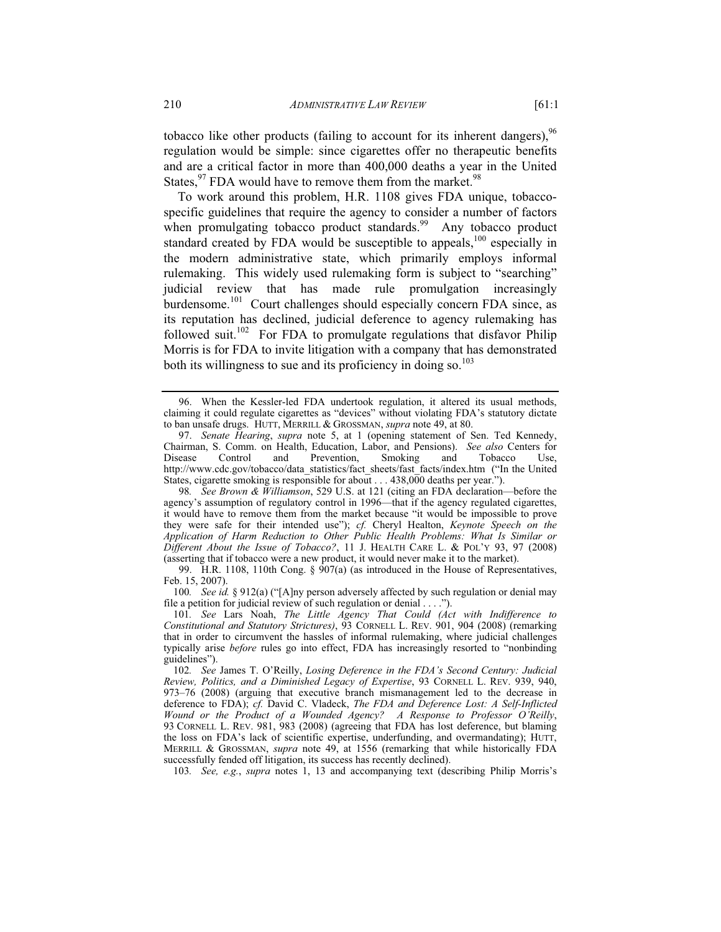tobacco like other products (failing to account for its inherent dangers),  $96$ regulation would be simple: since cigarettes offer no therapeutic benefits and are a critical factor in more than 400,000 deaths a year in the United States,  $97$  FDA would have to remove them from the market.  $98$ 

To work around this problem, H.R. 1108 gives FDA unique, tobaccospecific guidelines that require the agency to consider a number of factors when promulgating tobacco product standards.<sup>99</sup> Any tobacco product standard created by FDA would be susceptible to appeals,<sup>100</sup> especially in the modern administrative state, which primarily employs informal rulemaking. This widely used rulemaking form is subject to "searching" judicial review that has made rule promulgation increasingly burdensome.<sup>101</sup> Court challenges should especially concern FDA since, as its reputation has declined, judicial deference to agency rulemaking has followed suit.<sup>102</sup> For FDA to promulgate regulations that disfavor Philip Morris is for FDA to invite litigation with a company that has demonstrated both its willingness to sue and its proficiency in doing so. $103$ 

 <sup>96.</sup> When the Kessler-led FDA undertook regulation, it altered its usual methods, claiming it could regulate cigarettes as "devices" without violating FDA's statutory dictate to ban unsafe drugs. HUTT, MERRILL & GROSSMAN, *supra* note 49, at 80.

 <sup>97.</sup> *Senate Hearing*, *supra* note 5, at 1 (opening statement of Sen. Ted Kennedy, Chairman, S. Comm. on Health, Education, Labor, and Pensions). *See also* Centers for Disease Control and Prevention, Smoking and Tobacco Use, http://www.cdc.gov/tobacco/data\_statistics/fact\_sheets/fast\_facts/index.htm ("In the United States, cigarette smoking is responsible for about . . . 438,000 deaths per year.").

<sup>98</sup>*. See Brown & Williamson*, 529 U.S. at 121 (citing an FDA declaration—before the agency's assumption of regulatory control in 1996—that if the agency regulated cigarettes, it would have to remove them from the market because "it would be impossible to prove they were safe for their intended use"); *cf.* Cheryl Healton, *Keynote Speech on the Application of Harm Reduction to Other Public Health Problems: What Is Similar or Different About the Issue of Tobacco?*, 11 J. HEALTH CARE L. & POL'Y 93, 97 (2008) (asserting that if tobacco were a new product, it would never make it to the market).

 <sup>99.</sup> H.R. 1108, 110th Cong. § 907(a) (as introduced in the House of Representatives, Feb. 15, 2007).

<sup>100</sup>*. See id.* § 912(a) ("[A]ny person adversely affected by such regulation or denial may file a petition for judicial review of such regulation or denial . . . .").

<sup>101</sup>*. See* Lars Noah, *The Little Agency That Could (Act with Indifference to Constitutional and Statutory Strictures)*, 93 CORNELL L. REV. 901, 904 (2008) (remarking that in order to circumvent the hassles of informal rulemaking, where judicial challenges typically arise *before* rules go into effect, FDA has increasingly resorted to "nonbinding guidelines").

<sup>102</sup>*. See* James T. O'Reilly, *Losing Deference in the FDA's Second Century: Judicial Review, Politics, and a Diminished Legacy of Expertise*, 93 CORNELL L. REV. 939, 940, 973–76 (2008) (arguing that executive branch mismanagement led to the decrease in deference to FDA); *cf.* David C. Vladeck, *The FDA and Deference Lost: A Self-Inflicted Wound or the Product of a Wounded Agency? A Response to Professor O'Reilly*, 93 CORNELL L. REV. 981, 983 (2008) (agreeing that FDA has lost deference, but blaming the loss on FDA's lack of scientific expertise, underfunding, and overmandating); HUTT, MERRILL & GROSSMAN, *supra* note 49, at 1556 (remarking that while historically FDA successfully fended off litigation, its success has recently declined).

<sup>103</sup>*. See, e.g.*, *supra* notes 1, 13 and accompanying text (describing Philip Morris's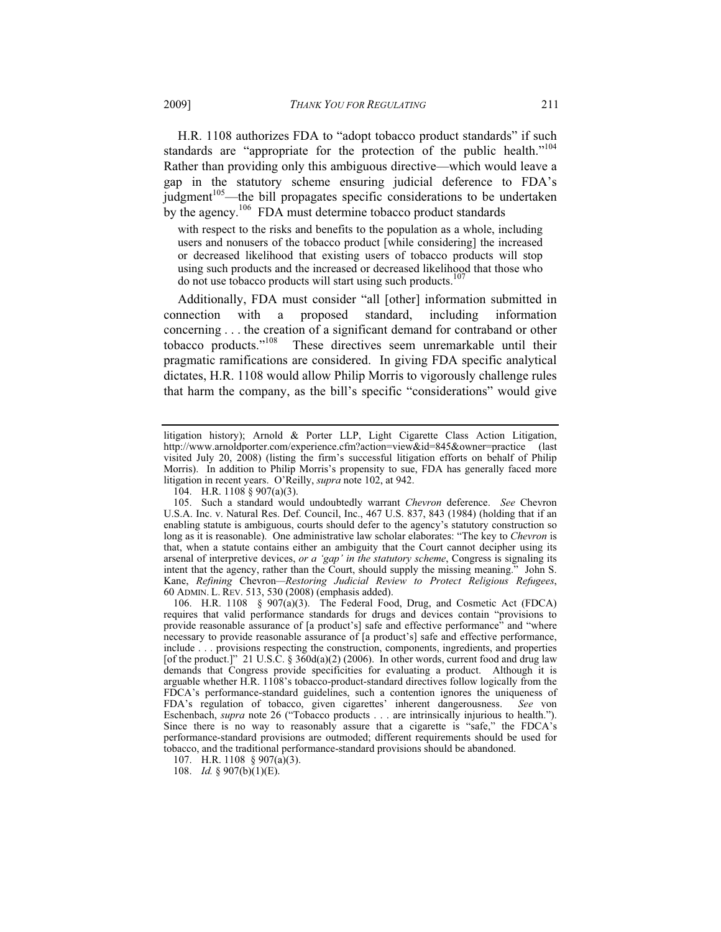H.R. 1108 authorizes FDA to "adopt tobacco product standards" if such standards are "appropriate for the protection of the public health."<sup>104</sup> Rather than providing only this ambiguous directive—which would leave a gap in the statutory scheme ensuring judicial deference to FDA's judgment $105$ —the bill propagates specific considerations to be undertaken by the agency.<sup>106</sup> FDA must determine tobacco product standards

with respect to the risks and benefits to the population as a whole, including users and nonusers of the tobacco product [while considering] the increased or decreased likelihood that existing users of tobacco products will stop using such products and the increased or decreased likelihood that those who do not use tobacco products will start using such products.<sup>1</sup>

Additionally, FDA must consider "all [other] information submitted in connection with a proposed standard, including information concerning . . . the creation of a significant demand for contraband or other tobacco products."<sup>108</sup> These directives seem unremarkable until their These directives seem unremarkable until their pragmatic ramifications are considered. In giving FDA specific analytical dictates, H.R. 1108 would allow Philip Morris to vigorously challenge rules that harm the company, as the bill's specific "considerations" would give

107. H.R. 1108 § 907(a)(3).

litigation history); Arnold & Porter LLP, Light Cigarette Class Action Litigation, http://www.arnoldporter.com/experience.cfm?action=view&id=845&owner=practice (last visited July 20, 2008) (listing the firm's successful litigation efforts on behalf of Philip Morris). In addition to Philip Morris's propensity to sue, FDA has generally faced more litigation in recent years. O'Reilly, *supra* note 102, at 942.

 <sup>104.</sup> H.R. 1108 § 907(a)(3).

 <sup>105.</sup> Such a standard would undoubtedly warrant *Chevron* deference. *See* Chevron U.S.A. Inc. v. Natural Res. Def. Council, Inc., 467 U.S. 837, 843 (1984) (holding that if an enabling statute is ambiguous, courts should defer to the agency's statutory construction so long as it is reasonable). One administrative law scholar elaborates: "The key to *Chevron* is that, when a statute contains either an ambiguity that the Court cannot decipher using its arsenal of interpretive devices, *or a 'gap' in the statutory scheme*, Congress is signaling its intent that the agency, rather than the Court, should supply the missing meaning." John S. Kane, *Refining* Chevron*—Restoring Judicial Review to Protect Religious Refugees*, 60 ADMIN. L. REV. 513, 530 (2008) (emphasis added).

 <sup>106.</sup> H.R. 1108 § 907(a)(3). The Federal Food, Drug, and Cosmetic Act (FDCA) requires that valid performance standards for drugs and devices contain "provisions to provide reasonable assurance of [a product's] safe and effective performance" and "where necessary to provide reasonable assurance of [a product's] safe and effective performance, include . . . provisions respecting the construction, components, ingredients, and properties [of the product.]" 21 U.S.C. § 360d(a)(2) (2006). In other words, current food and drug law demands that Congress provide specificities for evaluating a product. Although it is arguable whether H.R. 1108's tobacco-product-standard directives follow logically from the FDCA's performance-standard guidelines, such a contention ignores the uniqueness of FDA's regulation of tobacco, given cigarettes' inherent dangerousness. *See* von Eschenbach, *supra* note 26 ("Tobacco products . . . are intrinsically injurious to health."). Since there is no way to reasonably assure that a cigarette is "safe," the FDCA's performance-standard provisions are outmoded; different requirements should be used for tobacco, and the traditional performance-standard provisions should be abandoned.

 <sup>108.</sup> *Id.* § 907(b)(1)(E).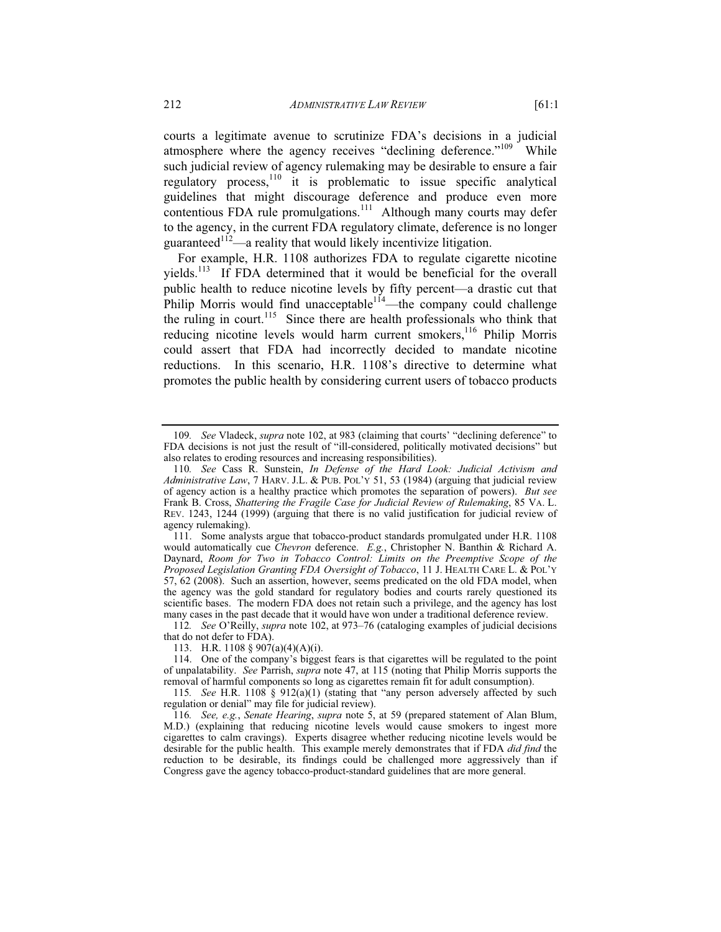courts a legitimate avenue to scrutinize FDA's decisions in a judicial atmosphere where the agency receives "declining deference."<sup>109</sup> While such judicial review of agency rulemaking may be desirable to ensure a fair regulatory process,110 it is problematic to issue specific analytical guidelines that might discourage deference and produce even more contentious FDA rule promulgations.<sup>111</sup> Although many courts may defer to the agency, in the current FDA regulatory climate, deference is no longer guaranteed<sup> $112$ </sup>—a reality that would likely incentivize litigation.

For example, H.R. 1108 authorizes FDA to regulate cigarette nicotine yields.<sup>113</sup> If FDA determined that it would be beneficial for the overall public health to reduce nicotine levels by fifty percent—a drastic cut that Philip Morris would find unacceptable<sup>114</sup>—the company could challenge the ruling in court.<sup>115</sup> Since there are health professionals who think that reducing nicotine levels would harm current smokers,<sup>116</sup> Philip Morris could assert that FDA had incorrectly decided to mandate nicotine reductions. In this scenario, H.R. 1108's directive to determine what promotes the public health by considering current users of tobacco products

112*. See* O'Reilly, *supra* note 102, at 973–76 (cataloging examples of judicial decisions that do not defer to FDA).

113. H.R. 1108 § 907(a)(4)(A)(i).

 114. One of the company's biggest fears is that cigarettes will be regulated to the point of unpalatability. *See* Parrish, *supra* note 47, at 115 (noting that Philip Morris supports the removal of harmful components so long as cigarettes remain fit for adult consumption).

115*. See* H.R. 1108 § 912(a)(1) (stating that "any person adversely affected by such regulation or denial" may file for judicial review).

<sup>109</sup>*. See* Vladeck, *supra* note 102, at 983 (claiming that courts' "declining deference" to FDA decisions is not just the result of "ill-considered, politically motivated decisions" but also relates to eroding resources and increasing responsibilities).

<sup>110</sup>*. See* Cass R. Sunstein, *In Defense of the Hard Look: Judicial Activism and Administrative Law*, 7 HARV. J.L. & PUB. POL'Y 51, 53 (1984) (arguing that judicial review of agency action is a healthy practice which promotes the separation of powers). *But see* Frank B. Cross, *Shattering the Fragile Case for Judicial Review of Rulemaking*, 85 VA. L. REV. 1243, 1244 (1999) (arguing that there is no valid justification for judicial review of agency rulemaking).

 <sup>111.</sup> Some analysts argue that tobacco-product standards promulgated under H.R. 1108 would automatically cue *Chevron* deference. *E.g.*, Christopher N. Banthin & Richard A. Daynard, *Room for Two in Tobacco Control: Limits on the Preemptive Scope of the Proposed Legislation Granting FDA Oversight of Tobacco*, 11 J. HEALTH CARE L. & POL'Y 57, 62 (2008). Such an assertion, however, seems predicated on the old FDA model, when the agency was the gold standard for regulatory bodies and courts rarely questioned its scientific bases. The modern FDA does not retain such a privilege, and the agency has lost many cases in the past decade that it would have won under a traditional deference review.

<sup>116</sup>*. See, e.g.*, *Senate Hearing*, *supra* note 5, at 59 (prepared statement of Alan Blum, M.D.) (explaining that reducing nicotine levels would cause smokers to ingest more cigarettes to calm cravings). Experts disagree whether reducing nicotine levels would be desirable for the public health. This example merely demonstrates that if FDA *did find* the reduction to be desirable, its findings could be challenged more aggressively than if Congress gave the agency tobacco-product-standard guidelines that are more general.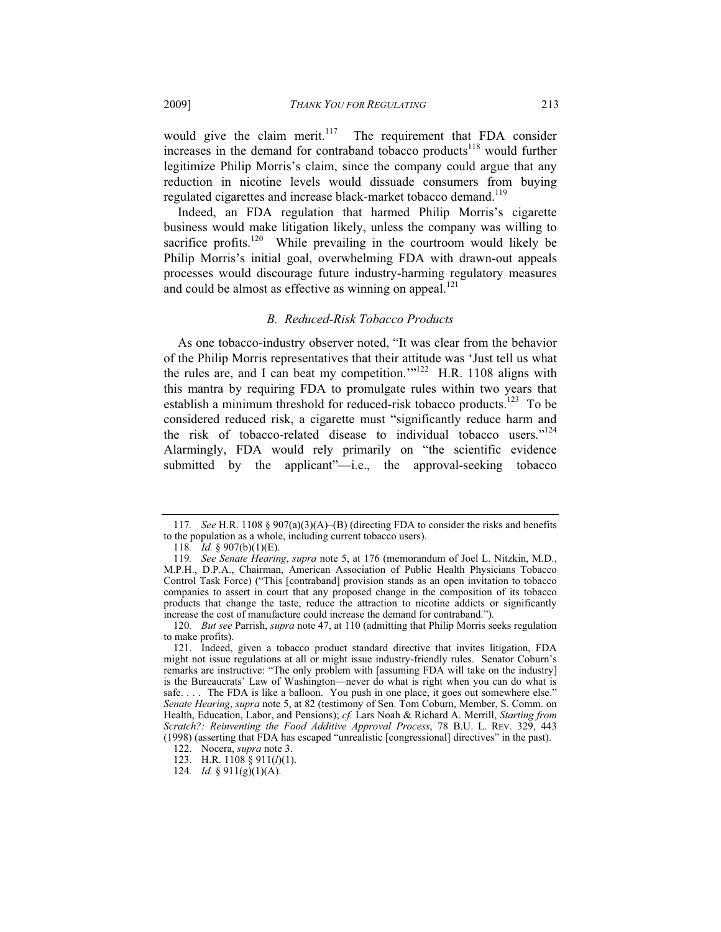would give the claim merit.<sup>117</sup> The requirement that FDA consider increases in the demand for contraband tobacco products<sup>118</sup> would further legitimize Philip Morris's claim, since the company could argue that any reduction in nicotine levels would dissuade consumers from buying regulated cigarettes and increase black-market tobacco demand.<sup>119</sup>

Indeed, an FDA regulation that harmed Philip Morris's cigarette business would make litigation likely, unless the company was willing to sacrifice profits.<sup>120</sup> While prevailing in the courtroom would likely be Philip Morris's initial goal, overwhelming FDA with drawn-out appeals processes would discourage future industry-harming regulatory measures and could be almost as effective as winning on appeal. $^{121}$ 

### *B. Reduced-Risk Tobacco Products*

As one tobacco-industry observer noted, "It was clear from the behavior of the Philip Morris representatives that their attitude was 'Just tell us what the rules are, and I can beat my competition." $1^{122}$  H.R. 1108 aligns with this mantra by requiring FDA to promulgate rules within two years that establish a minimum threshold for reduced-risk tobacco products.<sup>123</sup> To be considered reduced risk, a cigarette must "significantly reduce harm and the risk of tobacco-related disease to individual tobacco users."<sup>124</sup> Alarmingly, FDA would rely primarily on "the scientific evidence submitted by the applicant"—i.e., the approval-seeking tobacco

<sup>117</sup>*. See* H.R. 1108 § 907(a)(3)(A)–(B) (directing FDA to consider the risks and benefits to the population as a whole, including current tobacco users).

<sup>118</sup>*. Id.* § 907(b)(1)(E).

<sup>119</sup>*. See Senate Hearing*, *supra* note 5, at 176 (memorandum of Joel L. Nitzkin, M.D., M.P.H., D.P.A., Chairman, American Association of Public Health Physicians Tobacco Control Task Force) ("This [contraband] provision stands as an open invitation to tobacco companies to assert in court that any proposed change in the composition of its tobacco products that change the taste, reduce the attraction to nicotine addicts or significantly increase the cost of manufacture could increase the demand for contraband.").

<sup>120</sup>*. But see* Parrish, *supra* note 47, at 110 (admitting that Philip Morris seeks regulation to make profits).

 <sup>121.</sup> Indeed, given a tobacco product standard directive that invites litigation, FDA might not issue regulations at all or might issue industry-friendly rules. Senator Coburn's remarks are instructive: "The only problem with [assuming FDA will take on the industry] is the Bureaucrats' Law of Washington—never do what is right when you can do what is safe.... The FDA is like a balloon. You push in one place, it goes out somewhere else." *Senate Hearing*, *supra* note 5, at 82 (testimony of Sen. Tom Coburn, Member, S. Comm. on Health, Education, Labor, and Pensions); *cf.* Lars Noah & Richard A. Merrill, *Starting from Scratch?: Reinventing the Food Additive Approval Process*, 78 B.U. L. REV. 329, 443 (1998) (asserting that FDA has escaped "unrealistic [congressional] directives" in the past).

 <sup>122.</sup> Nocera, *supra* note 3.

 <sup>123.</sup> H.R. 1108 § 911(*l*)(1).

<sup>124</sup>*. Id.* § 911(g)(1)(A).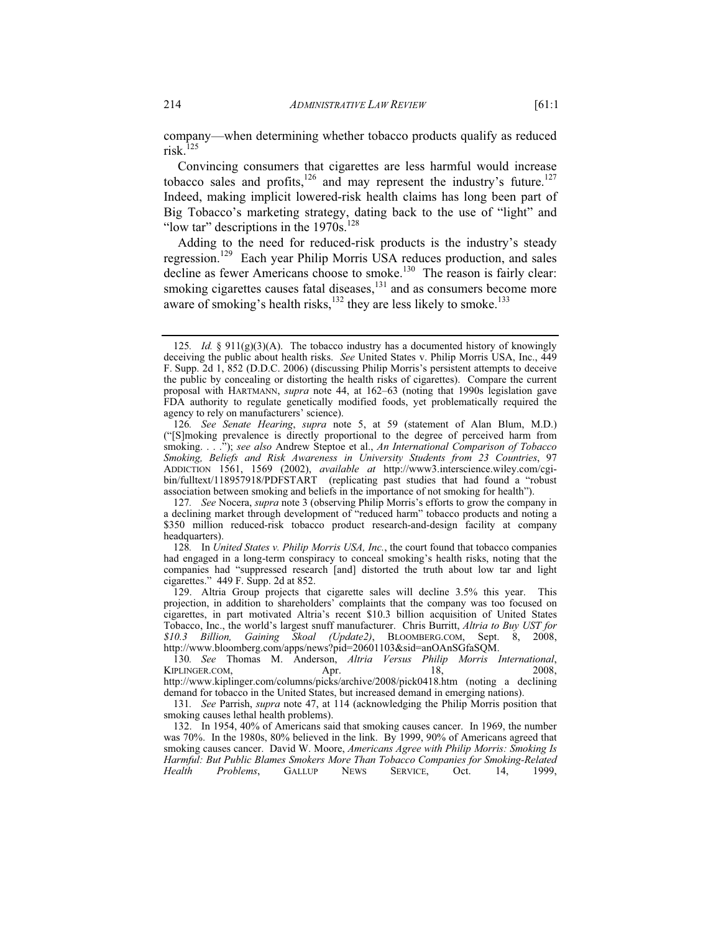company—when determining whether tobacco products qualify as reduced risk.<sup>125</sup>

Convincing consumers that cigarettes are less harmful would increase tobacco sales and profits,<sup>126</sup> and may represent the industry's future.<sup>127</sup> Indeed, making implicit lowered-risk health claims has long been part of Big Tobacco's marketing strategy, dating back to the use of "light" and "low tar" descriptions in the  $1970s$ .<sup>128</sup>

Adding to the need for reduced-risk products is the industry's steady regression.129 Each year Philip Morris USA reduces production, and sales decline as fewer Americans choose to smoke.<sup>130</sup> The reason is fairly clear: smoking cigarettes causes fatal diseases,<sup>131</sup> and as consumers become more aware of smoking's health risks,<sup>132</sup> they are less likely to smoke.<sup>133</sup>

128*.* In *United States v. Philip Morris USA, Inc.*, the court found that tobacco companies had engaged in a long-term conspiracy to conceal smoking's health risks, noting that the companies had "suppressed research [and] distorted the truth about low tar and light cigarettes." 449 F. Supp. 2d at 852.

 129. Altria Group projects that cigarette sales will decline 3.5% this year. This projection, in addition to shareholders' complaints that the company was too focused on cigarettes, in part motivated Altria's recent \$10.3 billion acquisition of United States Tobacco, Inc., the world's largest snuff manufacturer. Chris Burritt, *Altria to Buy UST for \$10.3 Billion, Gaining Skoal (Update2)*, BLOOMBERG.COM, Sept. 8, 2008, http://www.bloomberg.com/apps/news?pid=20601103&sid=anOAnSGfaSQM.

130*. See* Thomas M. Anderson, *Altria Versus Philip Morris International*, KIPLINGER.COM, Apr. 418, 2008, http://www.kiplinger.com/columns/picks/archive/2008/pick0418.htm (noting a declining demand for tobacco in the United States, but increased demand in emerging nations).

131*. See* Parrish, *supra* note 47, at 114 (acknowledging the Philip Morris position that smoking causes lethal health problems).

 132. In 1954, 40% of Americans said that smoking causes cancer. In 1969, the number was 70%. In the 1980s, 80% believed in the link. By 1999, 90% of Americans agreed that smoking causes cancer. David W. Moore, *Americans Agree with Philip Morris: Smoking Is Harmful: But Public Blames Smokers More Than Tobacco Companies for Smoking-Related Health Problems*, GALLUP NEWS SERVICE, Oct. 14, 1999,

<sup>125.</sup> *Id.* § 911(g)(3)(A). The tobacco industry has a documented history of knowingly deceiving the public about health risks. *See* United States v. Philip Morris USA, Inc., 449 F. Supp. 2d 1, 852 (D.D.C. 2006) (discussing Philip Morris's persistent attempts to deceive the public by concealing or distorting the health risks of cigarettes). Compare the current proposal with HARTMANN, *supra* note 44, at 162–63 (noting that 1990s legislation gave FDA authority to regulate genetically modified foods, yet problematically required the agency to rely on manufacturers' science).

<sup>126</sup>*. See Senate Hearing*, *supra* note 5, at 59 (statement of Alan Blum, M.D.) ("[S]moking prevalence is directly proportional to the degree of perceived harm from smoking. . . ."); *see also* Andrew Steptoe et al., *An International Comparison of Tobacco Smoking, Beliefs and Risk Awareness in University Students from 23 Countries*, 97 ADDICTION 1561, 1569 (2002), *available at* http://www3.interscience.wiley.com/cgibin/fulltext/118957918/PDFSTART (replicating past studies that had found a "robust association between smoking and beliefs in the importance of not smoking for health").

<sup>127</sup>*. See* Nocera, *supra* note 3 (observing Philip Morris's efforts to grow the company in a declining market through development of "reduced harm" tobacco products and noting a \$350 million reduced-risk tobacco product research-and-design facility at company headquarters).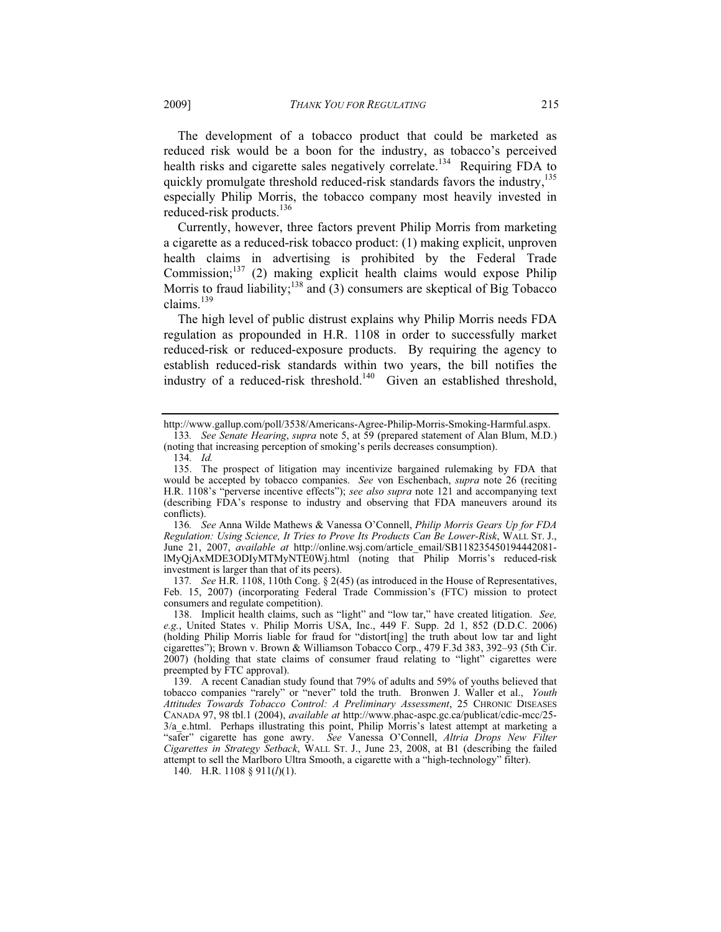The development of a tobacco product that could be marketed as reduced risk would be a boon for the industry, as tobacco's perceived health risks and cigarette sales negatively correlate.<sup>134</sup> Requiring FDA to quickly promulgate threshold reduced-risk standards favors the industry,<sup>135</sup> especially Philip Morris, the tobacco company most heavily invested in reduced-risk products.<sup>136</sup>

Currently, however, three factors prevent Philip Morris from marketing a cigarette as a reduced-risk tobacco product: (1) making explicit, unproven health claims in advertising is prohibited by the Federal Trade Commission; $^{137}$  (2) making explicit health claims would expose Philip Morris to fraud liability;<sup>138</sup> and (3) consumers are skeptical of Big Tobacco claims.<sup>139</sup>

The high level of public distrust explains why Philip Morris needs FDA regulation as propounded in H.R. 1108 in order to successfully market reduced-risk or reduced-exposure products. By requiring the agency to establish reduced-risk standards within two years, the bill notifies the industry of a reduced-risk threshold.<sup>140</sup> Given an established threshold,

137*. See* H.R. 1108, 110th Cong. § 2(45) (as introduced in the House of Representatives, Feb. 15, 2007) (incorporating Federal Trade Commission's (FTC) mission to protect consumers and regulate competition).

http://www.gallup.com/poll/3538/Americans-Agree-Philip-Morris-Smoking-Harmful.aspx.

<sup>133</sup>*. See Senate Hearing*, *supra* note 5, at 59 (prepared statement of Alan Blum, M.D.) (noting that increasing perception of smoking's perils decreases consumption).

<sup>134</sup>*. Id.*

 <sup>135.</sup> The prospect of litigation may incentivize bargained rulemaking by FDA that would be accepted by tobacco companies. *See* von Eschenbach, *supra* note 26 (reciting H.R. 1108's "perverse incentive effects"); *see also supra* note 121 and accompanying text (describing FDA's response to industry and observing that FDA maneuvers around its conflicts).

<sup>136</sup>*. See* Anna Wilde Mathews & Vanessa O'Connell, *Philip Morris Gears Up for FDA Regulation: Using Science, It Tries to Prove Its Products Can Be Lower-Risk*, WALL ST. J., June 21, 2007, *available at* http://online.wsj.com/article\_email/SB118235450194442081 lMyQjAxMDE3ODIyMTMyNTE0Wj.html (noting that Philip Morris's reduced-risk investment is larger than that of its peers).

 <sup>138.</sup> Implicit health claims, such as "light" and "low tar," have created litigation. *See, e.g.*, United States v. Philip Morris USA, Inc., 449 F. Supp. 2d 1, 852 (D.D.C. 2006) (holding Philip Morris liable for fraud for "distort[ing] the truth about low tar and light cigarettes"); Brown v. Brown & Williamson Tobacco Corp., 479 F.3d 383, 392–93 (5th Cir. 2007) (holding that state claims of consumer fraud relating to "light" cigarettes were preempted by FTC approval).

 <sup>139.</sup> A recent Canadian study found that 79% of adults and 59% of youths believed that tobacco companies "rarely" or "never" told the truth. Bronwen J. Waller et al., *Youth Attitudes Towards Tobacco Control: A Preliminary Assessment*, 25 CHRONIC DISEASES CANADA 97, 98 tbl.1 (2004), *available at* http://www.phac-aspc.gc.ca/publicat/cdic-mcc/25- 3/a\_e.html. Perhaps illustrating this point, Philip Morris's latest attempt at marketing a "safer" cigarette has gone awry. *See* Vanessa O'Connell, *Altria Drops New Filter Cigarettes in Strategy Setback*, WALL ST. J., June 23, 2008, at B1 (describing the failed attempt to sell the Marlboro Ultra Smooth, a cigarette with a "high-technology" filter).

 <sup>140.</sup> H.R. 1108 § 911(*l*)(1).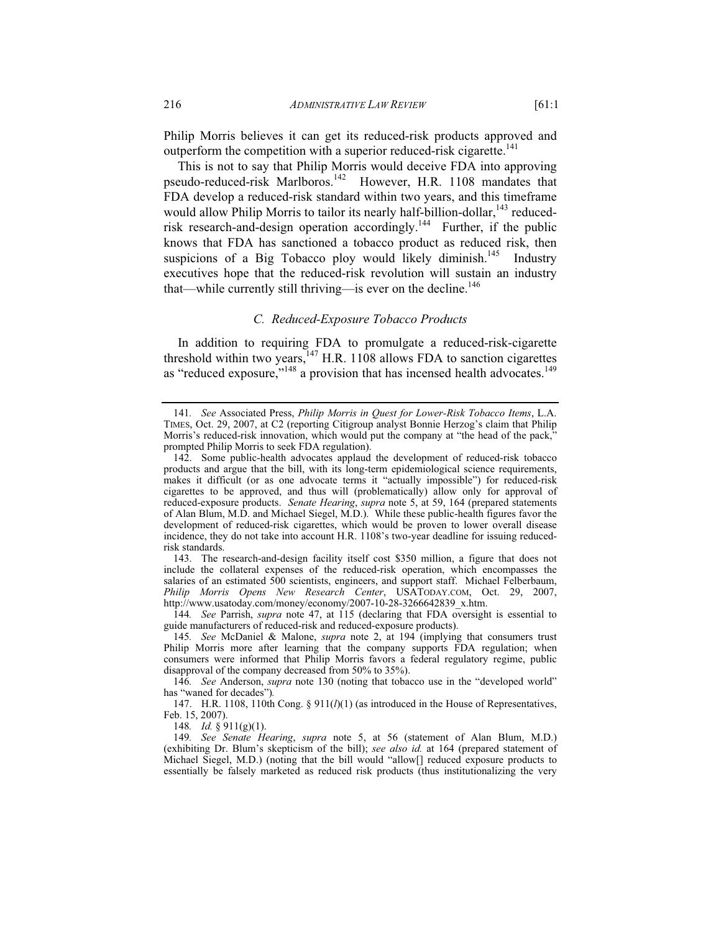Philip Morris believes it can get its reduced-risk products approved and outperform the competition with a superior reduced-risk cigarette.<sup>141</sup>

This is not to say that Philip Morris would deceive FDA into approving pseudo-reduced-risk Marlboros.142 However, H.R. 1108 mandates that FDA develop a reduced-risk standard within two years, and this timeframe would allow Philip Morris to tailor its nearly half-billion-dollar,<sup>143</sup> reducedrisk research-and-design operation accordingly.<sup>144</sup> Further, if the public knows that FDA has sanctioned a tobacco product as reduced risk, then suspicions of a Big Tobacco ploy would likely diminish.<sup>145</sup> Industry executives hope that the reduced-risk revolution will sustain an industry that—while currently still thriving—is ever on the decline.<sup>146</sup>

## *C. Reduced-Exposure Tobacco Products*

In addition to requiring FDA to promulgate a reduced-risk-cigarette threshold within two years,  $147$  H.R. 1108 allows FDA to sanction cigarettes as "reduced exposure,"<sup>148</sup> a provision that has incensed health advocates.<sup>149</sup>

 143. The research-and-design facility itself cost \$350 million, a figure that does not include the collateral expenses of the reduced-risk operation, which encompasses the salaries of an estimated 500 scientists, engineers, and support staff. Michael Felberbaum, *Philip Morris Opens New Research Center*, USATODAY.COM, Oct. 29, 2007, http://www.usatoday.com/money/economy/2007-10-28-3266642839\_x.htm.

144*. See* Parrish, *supra* note 47, at 115 (declaring that FDA oversight is essential to guide manufacturers of reduced-risk and reduced-exposure products).

148*. Id.* § 911(g)(1).

<sup>141</sup>*. See* Associated Press, *Philip Morris in Quest for Lower-Risk Tobacco Items*, L.A. TIMES, Oct. 29, 2007, at C2 (reporting Citigroup analyst Bonnie Herzog's claim that Philip Morris's reduced-risk innovation, which would put the company at "the head of the pack," prompted Philip Morris to seek FDA regulation).

 <sup>142.</sup> Some public-health advocates applaud the development of reduced-risk tobacco products and argue that the bill, with its long-term epidemiological science requirements, makes it difficult (or as one advocate terms it "actually impossible") for reduced-risk cigarettes to be approved, and thus will (problematically) allow only for approval of reduced-exposure products. *Senate Hearing*, *supra* note 5, at 59, 164 (prepared statements of Alan Blum, M.D. and Michael Siegel, M.D.). While these public-health figures favor the development of reduced-risk cigarettes, which would be proven to lower overall disease incidence, they do not take into account H.R. 1108's two-year deadline for issuing reducedrisk standards.

<sup>145</sup>*. See* McDaniel & Malone, *supra* note 2, at 194 (implying that consumers trust Philip Morris more after learning that the company supports FDA regulation; when consumers were informed that Philip Morris favors a federal regulatory regime, public disapproval of the company decreased from 50% to 35%).

<sup>146</sup>*. See* Anderson, *supra* note 130 (noting that tobacco use in the "developed world" has "waned for decades")*.*

 <sup>147.</sup> H.R. 1108, 110th Cong. § 911(*l*)(1) (as introduced in the House of Representatives, Feb. 15, 2007).

<sup>149</sup>*. See Senate Hearing*, *supra* note 5, at 56 (statement of Alan Blum, M.D.) (exhibiting Dr. Blum's skepticism of the bill); *see also id.* at 164 (prepared statement of Michael Siegel, M.D.) (noting that the bill would "allow[] reduced exposure products to essentially be falsely marketed as reduced risk products (thus institutionalizing the very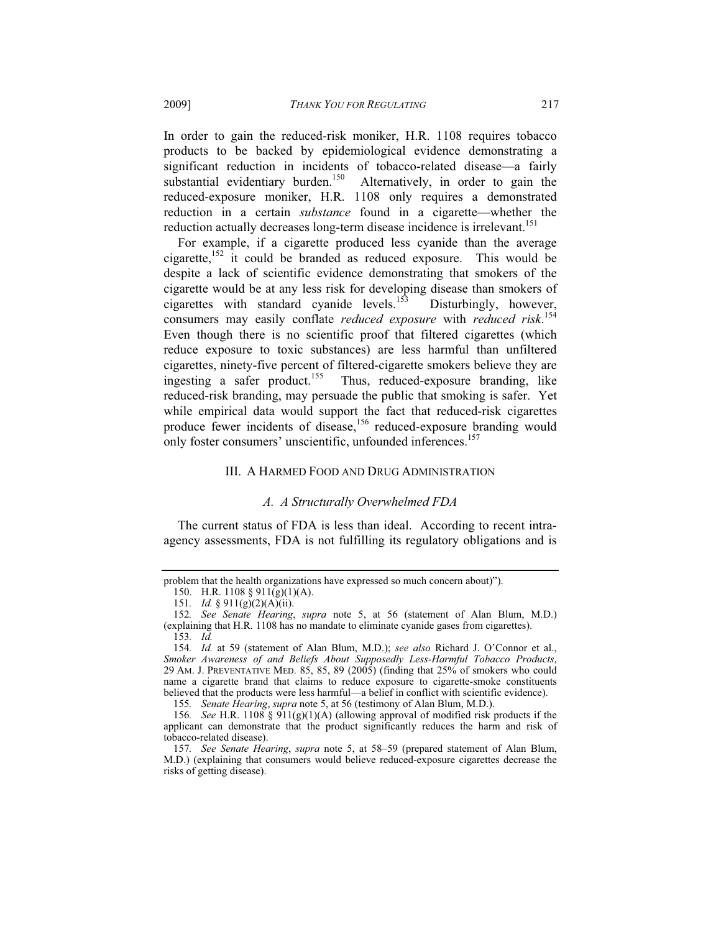In order to gain the reduced-risk moniker, H.R. 1108 requires tobacco products to be backed by epidemiological evidence demonstrating a significant reduction in incidents of tobacco-related disease—a fairly substantial evidentiary burden.<sup>150</sup> Alternatively, in order to gain the reduced-exposure moniker, H.R. 1108 only requires a demonstrated reduction in a certain *substance* found in a cigarette—whether the reduction actually decreases long-term disease incidence is irrelevant.<sup>151</sup>

For example, if a cigarette produced less cyanide than the average cigarette, $152$  it could be branded as reduced exposure. This would be despite a lack of scientific evidence demonstrating that smokers of the cigarette would be at any less risk for developing disease than smokers of cigarettes with standard cyanide levels.<sup>153</sup> Disturbingly, however, consumers may easily conflate *reduced exposure* with *reduced risk*. 154 Even though there is no scientific proof that filtered cigarettes (which reduce exposure to toxic substances) are less harmful than unfiltered cigarettes, ninety-five percent of filtered-cigarette smokers believe they are ingesting a safer product.<sup>155</sup> Thus, reduced-exposure branding, like reduced-risk branding, may persuade the public that smoking is safer. Yet while empirical data would support the fact that reduced-risk cigarettes produce fewer incidents of disease,<sup>156</sup> reduced-exposure branding would only foster consumers' unscientific, unfounded inferences.<sup>157</sup>

## III. A HARMED FOOD AND DRUG ADMINISTRATION

## *A. A Structurally Overwhelmed FDA*

The current status of FDA is less than ideal. According to recent intraagency assessments, FDA is not fulfilling its regulatory obligations and is

problem that the health organizations have expressed so much concern about)").

 <sup>150.</sup> H.R. 1108 § 911(g)(1)(A).

<sup>151</sup>*. Id.* § 911(g)(2)(A)(ii).

<sup>152</sup>*. See Senate Hearing*, *supra* note 5, at 56 (statement of Alan Blum, M.D.) (explaining that H.R. 1108 has no mandate to eliminate cyanide gases from cigarettes).

<sup>153</sup>*. Id.*

<sup>154</sup>*. Id.* at 59 (statement of Alan Blum, M.D.); *see also* Richard J. O'Connor et al., *Smoker Awareness of and Beliefs About Supposedly Less-Harmful Tobacco Products*, 29 AM. J. PREVENTATIVE MED. 85, 85, 89 (2005) (finding that 25% of smokers who could name a cigarette brand that claims to reduce exposure to cigarette-smoke constituents believed that the products were less harmful—a belief in conflict with scientific evidence).

<sup>155</sup>*. Senate Hearing*, *supra* note 5, at 56 (testimony of Alan Blum, M.D.).

<sup>156</sup>*. See* H.R. 1108 § 911(g)(1)(A) (allowing approval of modified risk products if the applicant can demonstrate that the product significantly reduces the harm and risk of tobacco-related disease).

<sup>157</sup>*. See Senate Hearing*, *supra* note 5, at 58–59 (prepared statement of Alan Blum, M.D.) (explaining that consumers would believe reduced-exposure cigarettes decrease the risks of getting disease).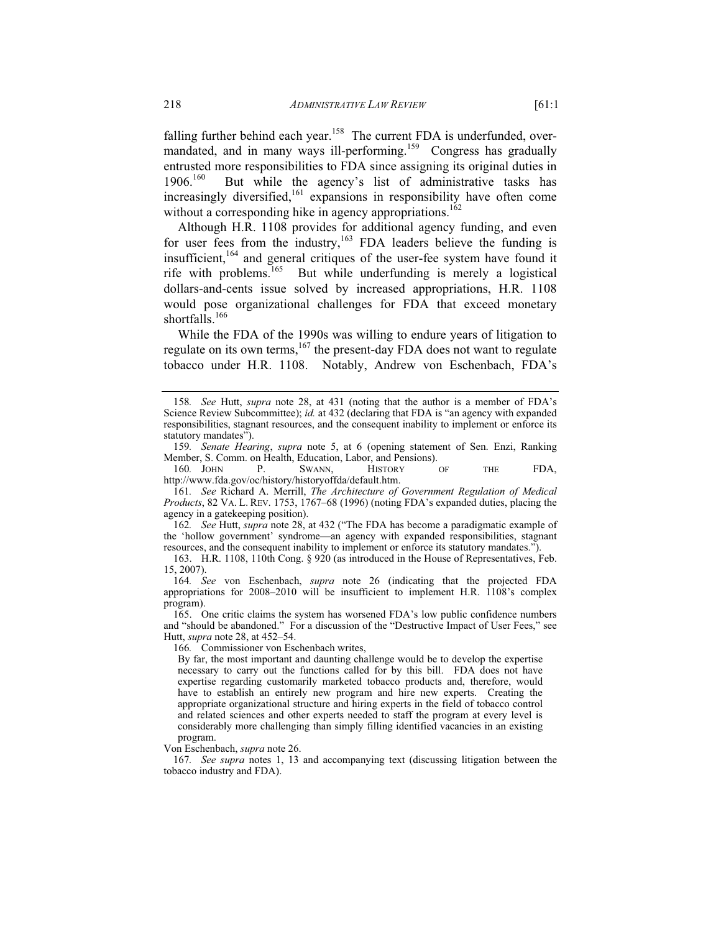falling further behind each year.<sup>158</sup> The current FDA is underfunded, overmandated, and in many ways ill-performing.<sup>159</sup> Congress has gradually entrusted more responsibilities to FDA since assigning its original duties in  $1906<sup>160</sup>$  But while the agency's list of administrative tasks has increasingly diversified,  $161$  expansions in responsibility have often come without a corresponding hike in agency appropriations.<sup>162</sup>

Although H.R. 1108 provides for additional agency funding, and even for user fees from the industry,<sup>163</sup> FDA leaders believe the funding is insufficient,<sup>164</sup> and general critiques of the user-fee system have found it rife with problems.165 But while underfunding is merely a logistical dollars-and-cents issue solved by increased appropriations, H.R. 1108 would pose organizational challenges for FDA that exceed monetary shortfalls.<sup>166</sup>

While the FDA of the 1990s was willing to endure years of litigation to regulate on its own terms, $167$  the present-day FDA does not want to regulate tobacco under H.R. 1108. Notably, Andrew von Eschenbach, FDA's

161*. See* Richard A. Merrill, *The Architecture of Government Regulation of Medical Products*, 82 VA. L. REV. 1753, 1767–68 (1996) (noting FDA's expanded duties, placing the agency in a gatekeeping position).

162*. See* Hutt, *supra* note 28, at 432 ("The FDA has become a paradigmatic example of the 'hollow government' syndrome—an agency with expanded responsibilities, stagnant resources, and the consequent inability to implement or enforce its statutory mandates.").

 163. H.R. 1108, 110th Cong. § 920 (as introduced in the House of Representatives, Feb. 15, 2007).

164*. See* von Eschenbach, *supra* note 26 (indicating that the projected FDA appropriations for 2008–2010 will be insufficient to implement H.R. 1108's complex program).

 165. One critic claims the system has worsened FDA's low public confidence numbers and "should be abandoned." For a discussion of the "Destructive Impact of User Fees," see Hutt, *supra* note 28, at 452–54.

166*.* Commissioner von Eschenbach writes,

By far, the most important and daunting challenge would be to develop the expertise necessary to carry out the functions called for by this bill. FDA does not have expertise regarding customarily marketed tobacco products and, therefore, would have to establish an entirely new program and hire new experts. Creating the appropriate organizational structure and hiring experts in the field of tobacco control and related sciences and other experts needed to staff the program at every level is considerably more challenging than simply filling identified vacancies in an existing program.

Von Eschenbach, *supra* note 26.

167*. See supra* notes 1, 13 and accompanying text (discussing litigation between the tobacco industry and FDA).

<sup>158</sup>*. See* Hutt, *supra* note 28, at 431 (noting that the author is a member of FDA's Science Review Subcommittee); *id.* at 432 (declaring that FDA is "an agency with expanded responsibilities, stagnant resources, and the consequent inability to implement or enforce its statutory mandates").

<sup>159</sup>*. Senate Hearing*, *supra* note 5, at 6 (opening statement of Sen. Enzi, Ranking Member, S. Comm. on Health, Education, Labor, and Pensions).

<sup>160</sup>*.* JOHN P. SWANN, HISTORY OF THE FDA, http://www.fda.gov/oc/history/historyoffda/default.htm.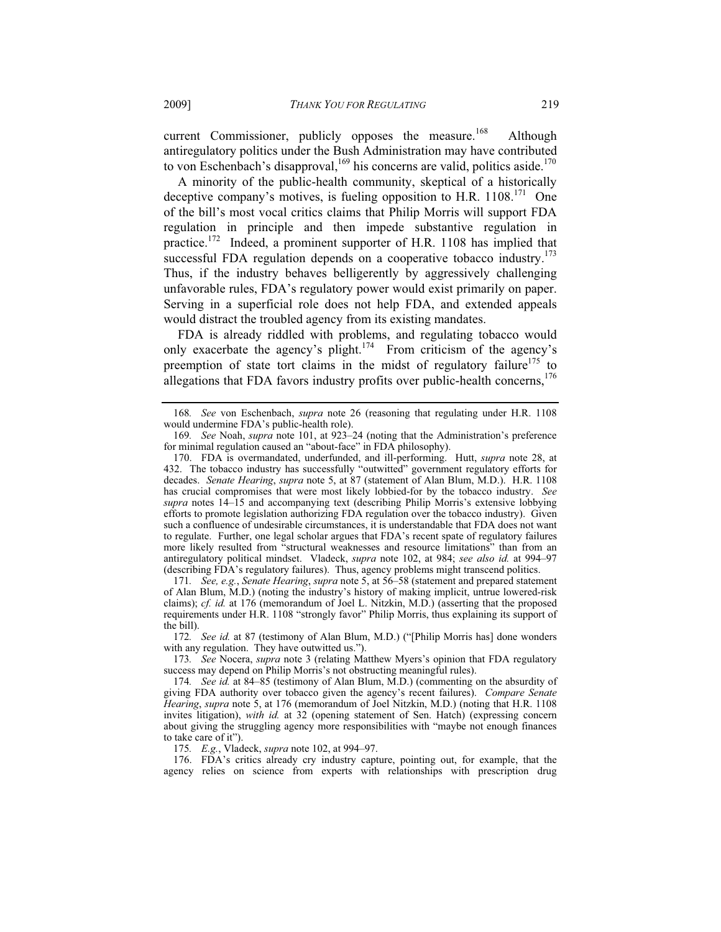current Commissioner, publicly opposes the measure.<sup>168</sup> Although antiregulatory politics under the Bush Administration may have contributed to von Eschenbach's disapproval,  $^{169}$  his concerns are valid, politics aside.<sup>170</sup>

A minority of the public-health community, skeptical of a historically deceptive company's motives, is fueling opposition to H.R.  $1108$ <sup>171</sup> One of the bill's most vocal critics claims that Philip Morris will support FDA regulation in principle and then impede substantive regulation in practice.172 Indeed, a prominent supporter of H.R. 1108 has implied that successful FDA regulation depends on a cooperative tobacco industry.<sup>173</sup> Thus, if the industry behaves belligerently by aggressively challenging unfavorable rules, FDA's regulatory power would exist primarily on paper. Serving in a superficial role does not help FDA, and extended appeals would distract the troubled agency from its existing mandates.

FDA is already riddled with problems, and regulating tobacco would only exacerbate the agency's plight.<sup>174</sup> From criticism of the agency's preemption of state tort claims in the midst of regulatory failure<sup>175</sup> to allegations that FDA favors industry profits over public-health concerns,  $176$ 

172*. See id.* at 87 (testimony of Alan Blum, M.D.) ("[Philip Morris has] done wonders with any regulation. They have outwitted us.").

173*. See* Nocera, *supra* note 3 (relating Matthew Myers's opinion that FDA regulatory success may depend on Philip Morris's not obstructing meaningful rules).

175*. E.g.*, Vladeck, *supra* note 102, at 994–97.

 176. FDA's critics already cry industry capture, pointing out, for example, that the agency relies on science from experts with relationships with prescription drug

<sup>168</sup>*. See* von Eschenbach, *supra* note 26 (reasoning that regulating under H.R. 1108 would undermine FDA's public-health role).

<sup>169</sup>*. See* Noah, *supra* note 101, at 923–24 (noting that the Administration's preference for minimal regulation caused an "about-face" in FDA philosophy).

 <sup>170.</sup> FDA is overmandated, underfunded, and ill-performing. Hutt, *supra* note 28, at 432. The tobacco industry has successfully "outwitted" government regulatory efforts for decades. *Senate Hearing*, *supra* note 5, at 87 (statement of Alan Blum, M.D.). H.R. 1108 has crucial compromises that were most likely lobbied-for by the tobacco industry. *See supra* notes 14–15 and accompanying text (describing Philip Morris's extensive lobbying efforts to promote legislation authorizing FDA regulation over the tobacco industry). Given such a confluence of undesirable circumstances, it is understandable that FDA does not want to regulate. Further, one legal scholar argues that FDA's recent spate of regulatory failures more likely resulted from "structural weaknesses and resource limitations" than from an antiregulatory political mindset. Vladeck, *supra* note 102, at 984; *see also id.* at 994–97 (describing FDA's regulatory failures). Thus, agency problems might transcend politics.

<sup>171</sup>*. See, e.g.*, *Senate Hearing*, *supra* note 5, at 56–58 (statement and prepared statement of Alan Blum, M.D.) (noting the industry's history of making implicit, untrue lowered-risk claims); *cf. id.* at 176 (memorandum of Joel L. Nitzkin, M.D.) (asserting that the proposed requirements under H.R. 1108 "strongly favor" Philip Morris, thus explaining its support of the bill).

<sup>174</sup>*. See id.* at 84–85 (testimony of Alan Blum, M.D.) (commenting on the absurdity of giving FDA authority over tobacco given the agency's recent failures). *Compare Senate Hearing*, *supra* note 5, at 176 (memorandum of Joel Nitzkin, M.D.) (noting that H.R. 1108 invites litigation), *with id.* at 32 (opening statement of Sen. Hatch) (expressing concern about giving the struggling agency more responsibilities with "maybe not enough finances to take care of it").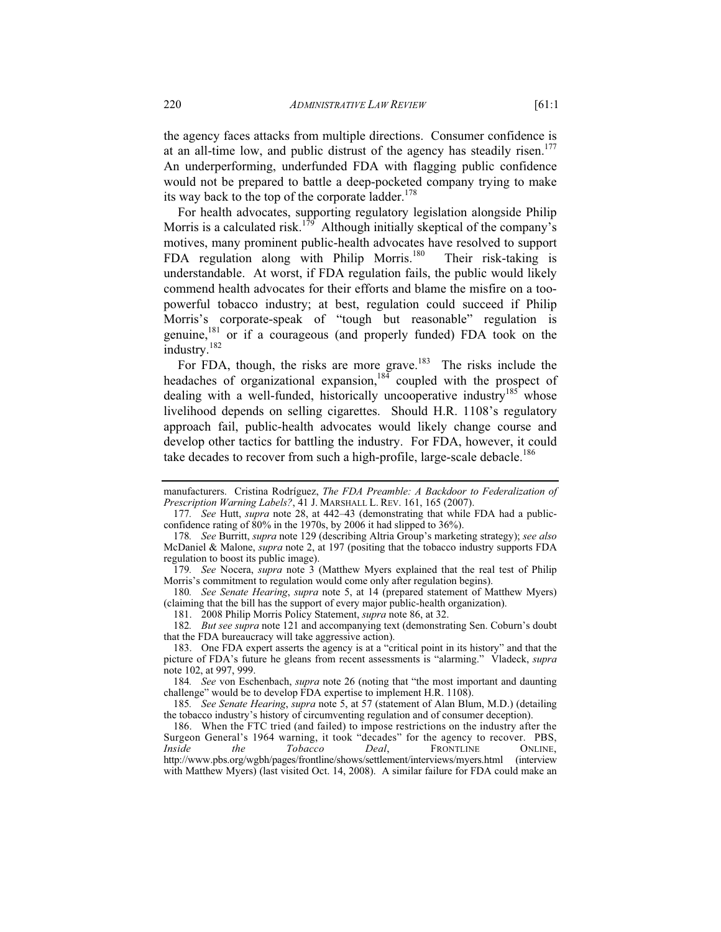the agency faces attacks from multiple directions. Consumer confidence is at an all-time low, and public distrust of the agency has steadily risen.<sup>177</sup> An underperforming, underfunded FDA with flagging public confidence would not be prepared to battle a deep-pocketed company trying to make its way back to the top of the corporate ladder.<sup>178</sup>

For health advocates, supporting regulatory legislation alongside Philip Morris is a calculated risk.<sup>179</sup> Although initially skeptical of the company's motives, many prominent public-health advocates have resolved to support FDA regulation along with Philip Morris.<sup>180</sup> Their risk-taking is understandable. At worst, if FDA regulation fails, the public would likely commend health advocates for their efforts and blame the misfire on a toopowerful tobacco industry; at best, regulation could succeed if Philip Morris's corporate-speak of "tough but reasonable" regulation is genuine, $181$  or if a courageous (and properly funded) FDA took on the industry.182

For FDA, though, the risks are more grave. $183$  The risks include the headaches of organizational expansion,<sup>184</sup> coupled with the prospect of dealing with a well-funded, historically uncooperative industry $185$  whose livelihood depends on selling cigarettes. Should H.R. 1108's regulatory approach fail, public-health advocates would likely change course and develop other tactics for battling the industry. For FDA, however, it could take decades to recover from such a high-profile, large-scale debacle.<sup>186</sup>

180*. See Senate Hearing*, *supra* note 5, at 14 (prepared statement of Matthew Myers) (claiming that the bill has the support of every major public-health organization).

181. 2008 Philip Morris Policy Statement, *supra* note 86, at 32.

182*. But see supra* note 121 and accompanying text (demonstrating Sen. Coburn's doubt that the FDA bureaucracy will take aggressive action).

 183. One FDA expert asserts the agency is at a "critical point in its history" and that the picture of FDA's future he gleans from recent assessments is "alarming." Vladeck, *supra* note 102, at 997, 999.

184*. See* von Eschenbach, *supra* note 26 (noting that "the most important and daunting challenge" would be to develop FDA expertise to implement H.R. 1108).

185*. See Senate Hearing*, *supra* note 5, at 57 (statement of Alan Blum, M.D.) (detailing the tobacco industry's history of circumventing regulation and of consumer deception).

 186. When the FTC tried (and failed) to impose restrictions on the industry after the Surgeon General's 1964 warning, it took "decades" for the agency to recover. PBS,<br> *Inside* the Tobacco Deal, FRONTLINE ONLINE,  $F$ RONTLINE http://www.pbs.org/wgbh/pages/frontline/shows/settlement/interviews/myers.html (interview with Matthew Myers) (last visited Oct. 14, 2008). A similar failure for FDA could make an

manufacturers. Cristina Rodríguez, *The FDA Preamble: A Backdoor to Federalization of Prescription Warning Labels?*, 41 J. MARSHALL L. REV. 161, 165 (2007).

<sup>177</sup>*. See* Hutt, *supra* note 28, at 442–43 (demonstrating that while FDA had a publicconfidence rating of 80% in the 1970s, by 2006 it had slipped to 36%).

<sup>178</sup>*. See* Burritt, *supra* note 129 (describing Altria Group's marketing strategy); *see also*  McDaniel & Malone, *supra* note 2, at 197 (positing that the tobacco industry supports FDA regulation to boost its public image).

<sup>179</sup>*. See* Nocera, *supra* note 3 (Matthew Myers explained that the real test of Philip Morris's commitment to regulation would come only after regulation begins).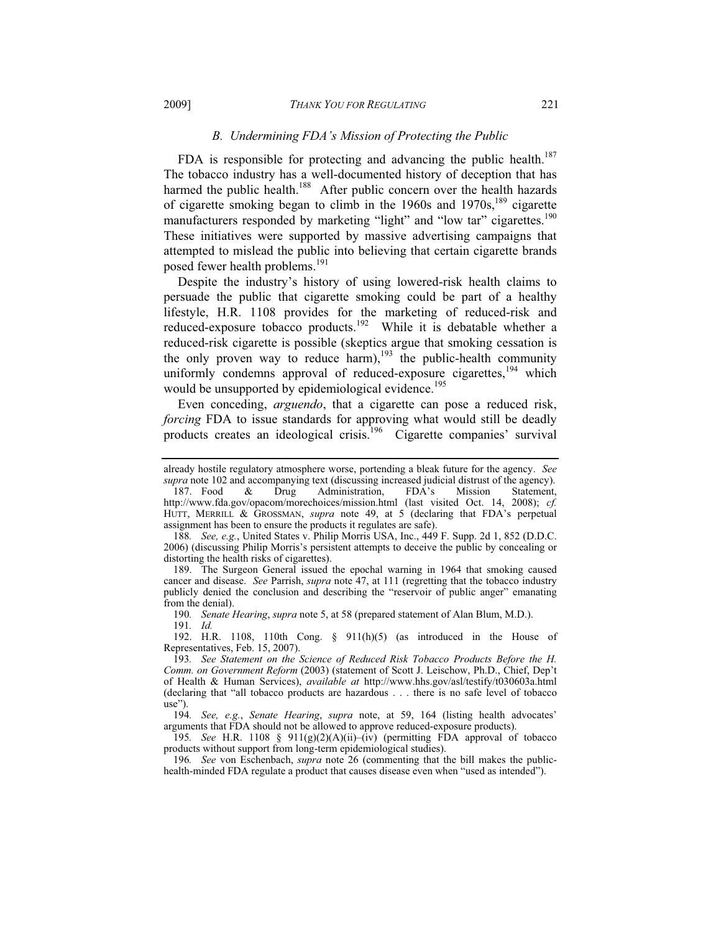## *B. Undermining FDA's Mission of Protecting the Public*

FDA is responsible for protecting and advancing the public health.<sup>187</sup> The tobacco industry has a well-documented history of deception that has harmed the public health.<sup>188</sup> After public concern over the health hazards of cigarette smoking began to climb in the 1960s and 1970s,<sup>189</sup> cigarette manufacturers responded by marketing "light" and "low tar" cigarettes.<sup>190</sup> These initiatives were supported by massive advertising campaigns that attempted to mislead the public into believing that certain cigarette brands posed fewer health problems.<sup>191</sup>

Despite the industry's history of using lowered-risk health claims to persuade the public that cigarette smoking could be part of a healthy lifestyle, H.R. 1108 provides for the marketing of reduced-risk and reduced-exposure tobacco products.192 While it is debatable whether a reduced-risk cigarette is possible (skeptics argue that smoking cessation is the only proven way to reduce harm),<sup>193</sup> the public-health community uniformly condemns approval of reduced-exposure cigarettes,  $194$  which would be unsupported by epidemiological evidence.<sup>195</sup>

Even conceding, *arguendo*, that a cigarette can pose a reduced risk, *forcing* FDA to issue standards for approving what would still be deadly products creates an ideological crisis.<sup>196</sup> Cigarette companies' survival

 189. The Surgeon General issued the epochal warning in 1964 that smoking caused cancer and disease. *See* Parrish, *supra* note 47, at 111 (regretting that the tobacco industry publicly denied the conclusion and describing the "reservoir of public anger" emanating from the denial).

190*. Senate Hearing*, *supra* note 5, at 58 (prepared statement of Alan Blum, M.D.).

191*. Id.*

 192. H.R. 1108, 110th Cong. § 911(h)(5) (as introduced in the House of Representatives, Feb. 15, 2007).

195*. See* H.R. 1108 § 911(g)(2)(A)(ii)–(iv) (permitting FDA approval of tobacco products without support from long-term epidemiological studies).

196*. See* von Eschenbach, *supra* note 26 (commenting that the bill makes the publichealth-minded FDA regulate a product that causes disease even when "used as intended").

already hostile regulatory atmosphere worse, portending a bleak future for the agency. *See*

*supra* note 102 and accompanying text (discussing increased judicial distrust of the agency).<br>187. Food & Drug Administration, FDA's Mission Statement, 187. Food & Drug Administration, FDA's Mission Statement, http://www.fda.gov/opacom/morechoices/mission.html (last visited Oct. 14, 2008); *cf.*  HUTT, MERRILL & GROSSMAN, *supra* note 49, at 5 (declaring that FDA's perpetual assignment has been to ensure the products it regulates are safe).

<sup>188</sup>*. See, e.g.*, United States v. Philip Morris USA, Inc., 449 F. Supp. 2d 1, 852 (D.D.C. 2006) (discussing Philip Morris's persistent attempts to deceive the public by concealing or distorting the health risks of cigarettes).

<sup>193</sup>*. See Statement on the Science of Reduced Risk Tobacco Products Before the H. Comm. on Government Reform* (2003) (statement of Scott J. Leischow, Ph.D., Chief, Dep't of Health & Human Services), *available at* http://www.hhs.gov/asl/testify/t030603a.html (declaring that "all tobacco products are hazardous . . . there is no safe level of tobacco use").

<sup>194</sup>*. See, e.g.*, *Senate Hearing*, *supra* note, at 59, 164 (listing health advocates' arguments that FDA should not be allowed to approve reduced-exposure products).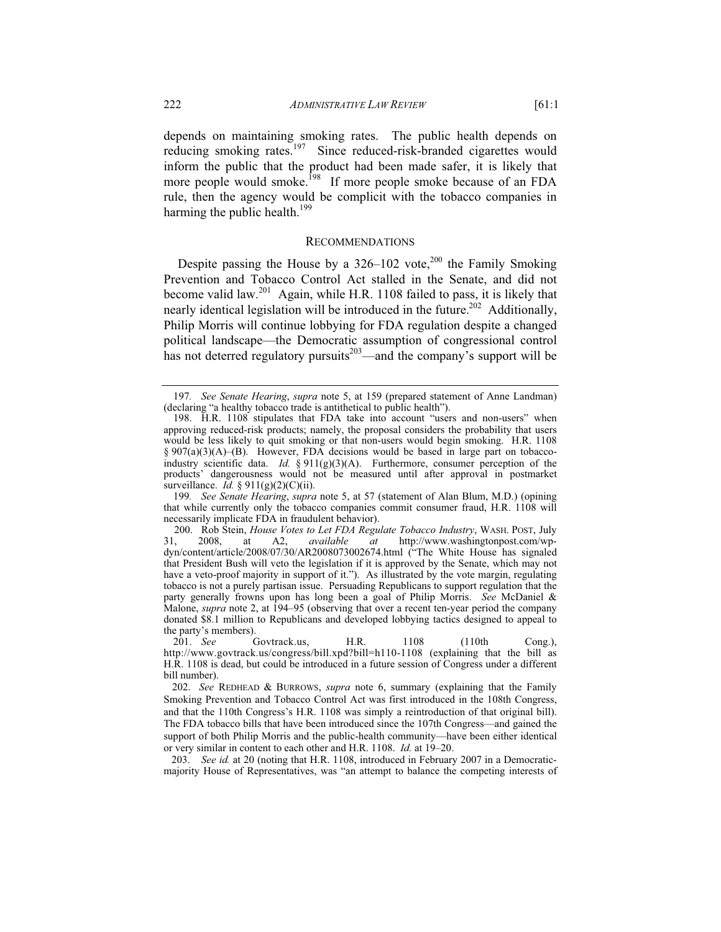depends on maintaining smoking rates. The public health depends on reducing smoking rates.<sup>197</sup> Since reduced-risk-branded cigarettes would inform the public that the product had been made safer, it is likely that more people would smoke.<sup>198</sup> If more people smoke because of an FDA rule, then the agency would be complicit with the tobacco companies in harming the public health.<sup>199</sup>

## RECOMMENDATIONS

Despite passing the House by a  $326-102$  vote,<sup>200</sup> the Family Smoking Prevention and Tobacco Control Act stalled in the Senate, and did not become valid law.201 Again, while H.R. 1108 failed to pass, it is likely that nearly identical legislation will be introduced in the future.<sup>202</sup> Additionally, Philip Morris will continue lobbying for FDA regulation despite a changed political landscape—the Democratic assumption of congressional control has not deterred regulatory pursuits<sup>203</sup>—and the company's support will be

199*. See Senate Hearing*, *supra* note 5, at 57 (statement of Alan Blum, M.D.) (opining that while currently only the tobacco companies commit consumer fraud, H.R. 1108 will necessarily implicate FDA in fraudulent behavior).

 203. *See id.* at 20 (noting that H.R. 1108, introduced in February 2007 in a Democraticmajority House of Representatives, was "an attempt to balance the competing interests of

<sup>197</sup>*. See Senate Hearing*, *supra* note 5, at 159 (prepared statement of Anne Landman) (declaring "a healthy tobacco trade is antithetical to public health").

 <sup>198.</sup> H.R. 1108 stipulates that FDA take into account "users and non-users" when approving reduced-risk products; namely, the proposal considers the probability that users would be less likely to quit smoking or that non-users would begin smoking. H.R. 1108 § 907(a)(3)(A)–(B). However, FDA decisions would be based in large part on tobaccoindustry scientific data. *Id.* § 911(g)(3)(A). Furthermore, consumer perception of the products' dangerousness would not be measured until after approval in postmarket surveillance. *Id.* § 911(g)(2)(C)(ii).

<sup>200.</sup> Rob Stein, *House Votes to Let FDA Regulate Tobacco Industry*, WASH. POST, July at http://www.washingtonpost.com/wpdyn/content/article/2008/07/30/AR2008073002674.html ("The White House has signaled that President Bush will veto the legislation if it is approved by the Senate, which may not have a veto-proof majority in support of it."). As illustrated by the vote margin, regulating tobacco is not a purely partisan issue. Persuading Republicans to support regulation that the party generally frowns upon has long been a goal of Philip Morris. *See* McDaniel & Malone, *supra* note 2, at 194–95 (observing that over a recent ten-year period the company donated \$8.1 million to Republicans and developed lobbying tactics designed to appeal to the party's members).

 <sup>201.</sup> *See* Govtrack.us, H.R. 1108 (110th Cong.), http://www.govtrack.us/congress/bill.xpd?bill=h110-1108 (explaining that the bill as H.R. 1108 is dead, but could be introduced in a future session of Congress under a different bill number).

<sup>202.</sup> *See* REDHEAD & BURROWS, *supra* note 6, summary (explaining that the Family Smoking Prevention and Tobacco Control Act was first introduced in the 108th Congress, and that the 110th Congress's H.R. 1108 was simply a reintroduction of that original bill). The FDA tobacco bills that have been introduced since the 107th Congress—and gained the support of both Philip Morris and the public-health community—have been either identical or very similar in content to each other and H.R. 1108. *Id.* at 19–20.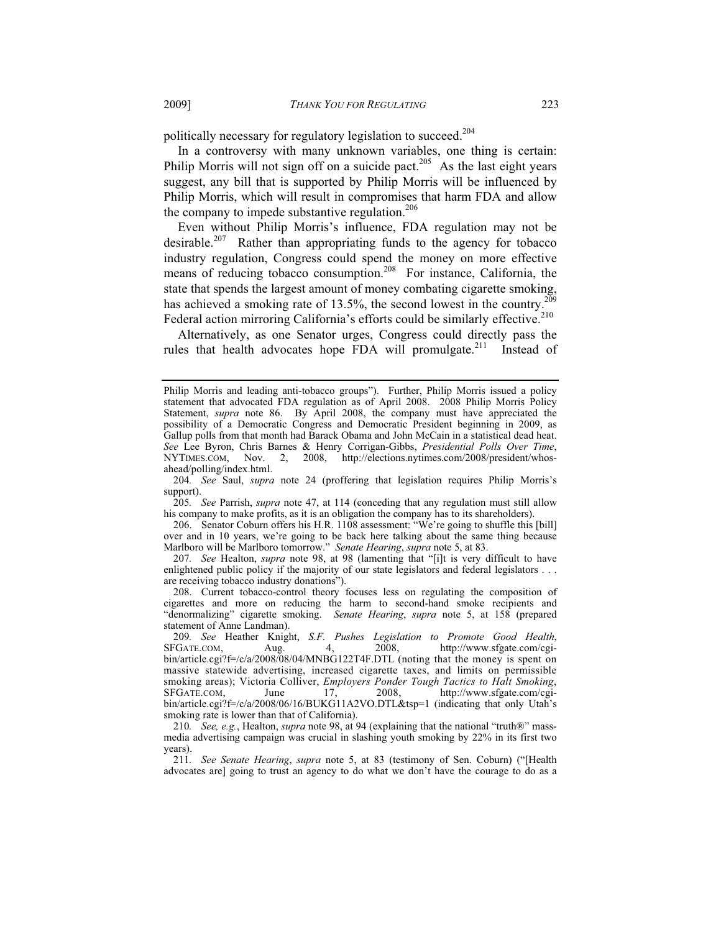politically necessary for regulatory legislation to succeed.<sup>204</sup>

In a controversy with many unknown variables, one thing is certain: Philip Morris will not sign off on a suicide pact.<sup>205</sup> As the last eight years suggest, any bill that is supported by Philip Morris will be influenced by Philip Morris, which will result in compromises that harm FDA and allow the company to impede substantive regulation. $206$ 

Even without Philip Morris's influence, FDA regulation may not be desirable.<sup>207</sup> Rather than appropriating funds to the agency for tobacco industry regulation, Congress could spend the money on more effective means of reducing tobacco consumption.<sup>208</sup> For instance, California, the state that spends the largest amount of money combating cigarette smoking, has achieved a smoking rate of 13.5%, the second lowest in the country.<sup>209</sup> Federal action mirroring California's efforts could be similarly effective.<sup>210</sup>

Alternatively, as one Senator urges, Congress could directly pass the rules that health advocates hope FDA will promulgate.<sup>211</sup> Instead of

204*. See* Saul, *supra* note 24 (proffering that legislation requires Philip Morris's support).

205*. See* Parrish, *supra* note 47, at 114 (conceding that any regulation must still allow his company to make profits, as it is an obligation the company has to its shareholders).

 206. Senator Coburn offers his H.R. 1108 assessment: "We're going to shuffle this [bill] over and in 10 years, we're going to be back here talking about the same thing because Marlboro will be Marlboro tomorrow." *Senate Hearing*, *supra* note 5, at 83.

207*. See* Healton, *supra* note 98, at 98 (lamenting that "[i]t is very difficult to have enlightened public policy if the majority of our state legislators and federal legislators . . . are receiving tobacco industry donations").

 208. Current tobacco-control theory focuses less on regulating the composition of cigarettes and more on reducing the harm to second-hand smoke recipients and "denormalizing" cigarette smoking. *Senate Hearing*, *supra* note 5, at 158 (prepared statement of Anne Landman).

209*. See* Heather Knight, *S.F. Pushes Legislation to Promote Good Health*, SFGATE.COM, Aug. 4, 2008, http://www.sfgate.com/cgibin/article.cgi?f=/c/a/2008/08/04/MNBG122T4F.DTL (noting that the money is spent on massive statewide advertising, increased cigarette taxes, and limits on permissible smoking areas); Victoria Colliver, *Employers Ponder Tough Tactics to Halt Smoking*, SFGATE.COM, June 17, 2008, http://www.sfgate.com/cgibin/article.cgi?f=/c/a/2008/06/16/BUKG11A2VO.DTL&tsp=1 (indicating that only Utah's smoking rate is lower than that of California).

210*. See, e.g.*, Healton, *supra* note 98, at 94 (explaining that the national "truth®" massmedia advertising campaign was crucial in slashing youth smoking by 22% in its first two years).

211*. See Senate Hearing*, *supra* note 5, at 83 (testimony of Sen. Coburn) ("[Health advocates are] going to trust an agency to do what we don't have the courage to do as a

Philip Morris and leading anti-tobacco groups"). Further, Philip Morris issued a policy statement that advocated FDA regulation as of April 2008. 2008 Philip Morris Policy Statement, *supra* note 86. By April 2008, the company must have appreciated the possibility of a Democratic Congress and Democratic President beginning in 2009, as Gallup polls from that month had Barack Obama and John McCain in a statistical dead heat. *See* Lee Byron, Chris Barnes & Henry Corrigan-Gibbs, *Presidential Polls Over Time*, NYTIMES.COM, Nov. 2, 2008, http://elections.nytimes.com/2008/president/whosahead/polling/index.html.